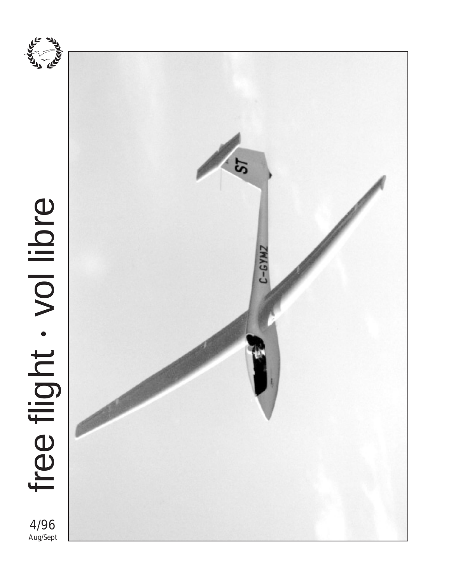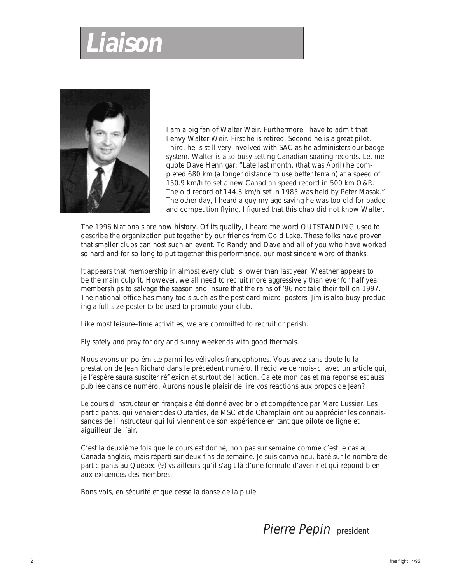# **Liaison**



I am a big fan of Walter Weir. Furthermore I have to admit that I envy Walter Weir. First he is retired. Second he is a great pilot. Third, he is still very involved with SAC as he administers our badge system. Walter is also busy setting Canadian soaring records. Let me quote Dave Hennigar: "Late last month, (that was April) he completed 680 km (a longer distance to use better terrain) at a speed of 150.9 km/h to set a new Canadian speed record in 500 km O&R. The old record of 144.3 km/h set in 1985 was held by Peter Masak." The other day, I heard a guy my age saying he was too old for badge and competition flying. I figured that this chap did not know Walter.

The 1996 Nationals are now history. Of its quality, I heard the word OUTSTANDING used to describe the organization put together by our friends from Cold Lake. These folks have proven that smaller clubs can host such an event. To Randy and Dave and all of you who have worked so hard and for so long to put together this performance, our most sincere word of thanks.

It appears that membership in almost every club is lower than last year. Weather appears to be the main culprit. However, we all need to recruit more aggressively than ever for half year memberships to salvage the season and insure that the rains of '96 not take their toll on 1997. The national office has many tools such as the post card micro–posters. Jim is also busy producing a full size poster to be used to promote your club.

Like most leisure–time activities, we are committed to recruit or perish.

Fly safely and pray for dry and sunny weekends with good thermals.

Nous avons un polémiste parmi les vélivoles francophones. Vous avez sans doute lu la prestation de Jean Richard dans le précédent numéro. Il récidive ce mois–ci avec un article qui, je l'espère saura susciter réflexion et surtout de l'action. Ça été mon cas et ma réponse est aussi publiée dans ce numéro. Aurons nous le plaisir de lire vos réactions aux propos de Jean?

Le cours d'instructeur en français a été donné avec brio et compétence par Marc Lussier. Les participants, qui venaient des Outardes, de MSC et de Champlain ont pu apprécier les connaissances de l'instructeur qui lui viennent de son expérience en tant que pilote de ligne et aiguilleur de l'air.

C'est la deuxième fois que le cours est donné, non pas sur semaine comme c'est le cas au Canada anglais, mais réparti sur deux fins de semaine. Je suis convaincu, basé sur le nombre de participants au Québec (9) vs ailleurs qu'il s'agit là d'une formule d'avenir et qui répond bien aux exigences des membres.

Bons vols, en sécurité et que cesse la danse de la pluie.

Pierre Pepin president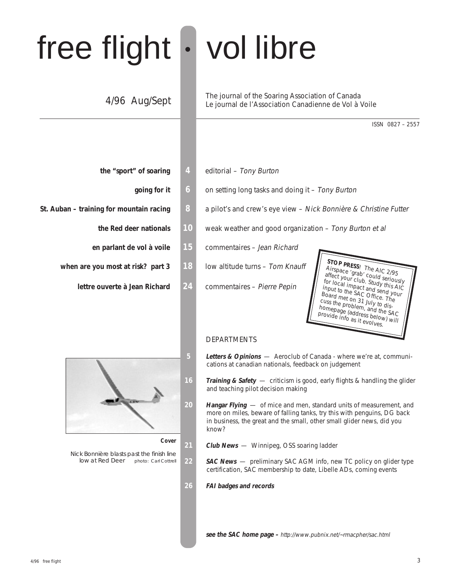# free flight • vol libre

### 4/96 Aug/Sept

The journal of the Soaring Association of Canada Le journal de l'Association Canadienne de Vol à Voile

ISSN 0827 – 2557

- **the "sport" of soaring 4** editorial Tony Burton
	-
- -
	-
	- **when are you most at risk? part 3 18** low altitude turns Tom Knauff
		- **lettre ouverte à Jean Richard 24** commentaires Pierre Pepin



**Cover**

Nick Bonnière blasts past the finish line<br>low at Red Deer photo: Carl Cottrell low at Red Deer

- 
- **going for it 6** on setting long tasks and doing it Tony Burton
- **St. Auban training for mountain racing 8** a pilot's and crew's eye view Nick Bonnière & Christine Futter
	- **the Red deer nationals** 10 weak weather and good organization Tony Burton et al
	- **en parlant de vol à voile 15** commentaires Jean Richard
		- -



#### DEPARTMENTS

- **5 Letters & Opinions**  Aeroclub of Canada where we're at, communications at canadian nationals, feedback on judgement
- **16 Training & Safety**  criticism is good, early flights & handling the glider and teaching pilot decision making
- **20 Hangar Flying**  of mice and men, standard units of measurement, and more on miles, beware of falling tanks, try this with penguins, DG back in business, the great and the small, other small glider news, did you know?
- 21 **Club News** Winnipeg, OSS soaring ladder
- **22 SAC News**  preliminary SAC AGM info, new TC policy on glider type certification, SAC membership to date, Libelle ADs, coming events
- **26 FAI badges and records**

**see the SAC home page –** http://www.pubnix.net/~rmacpher/sac.html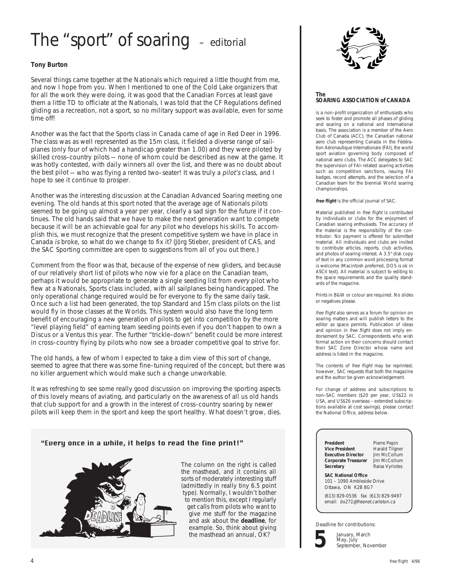### The "sport" of soaring - editorial

#### **Tony Burton**

Several things came together at the Nationals which required a little thought from me, and now I hope from you. When I mentioned to one of the Cold Lake organizers that for all the work they were doing, it was good that the Canadian Forces at least gave them a little TD to officiate at the Nationals, I was told that the CF Regulations defined gliding as a recreation, not a sport, so no military support was available, even for some time off!

Another was the fact that the Sports class in Canada came of age in Red Deer in 1996. The class was as well represented as the 15m class, it fielded a diverse range of sailplanes (only four of which had a handicap greater than 1.00) and they were piloted by skilled cross–country pilots — none of whom could be described as new at the game. It was hotly contested, with daily winners all over the list, and there was no doubt about the best pilot — who was flying a rented two–seater! It was truly a *pilot's* class, and I hope to see it continue to prosper.

Another was the interesting discussion at the Canadian Advanced Soaring meeting one evening. The old hands at this sport noted that the average age of Nationals pilots seemed to be going up almost a year per year, clearly a sad sign for the future if it continues. The old hands said that we have to make the next generation want to compete because it will be an achievable goal for any pilot who develops his skills. To accomplish this, we must recognize that the present competitive system we have in place in Canada is broke, so what do we change to fix it? (Jörg Stieber, president of CAS, and the SAC Sporting committee are open to suggestions from all of you out there.)

Comment from the floor was that, because of the expense of new gliders, and because of our relatively short list of pilots who now vie for a place on the Canadian team, perhaps it would be appropriate to generate a single seeding list from every pilot who flew at a Nationals, Sports class included, with all sailplanes being handicapped. The only operational change required would be for everyone to fly the same daily task. Once such a list had been generated, the top Standard and 15m class pilots on the list would fly in those classes at the Worlds. This system would also have the long term benefit of encouraging a new generation of pilots to get into competition by the more "level playing field" of earning team seeding points even if you don't happen to own a Discus or a Ventus this year. The further "trickle–down" benefit could be more interest in cross–country flying by pilots who now see a broader competitive goal to strive for.

The old hands, a few of whom I expected to take a dim view of this sort of change, seemed to agree that there was some fine–tuning required of the concept, but there was no killer arguement which would make such a change unworkable.

It was refreshing to see some really good discussion on improving the sporting aspects of this lovely means of aviating, and particularly on the awareness of all us old hands that club support for and a growth in the interest of cross–country soaring by newer pilots will keep them in the sport and keep the sport healthy. What doesn't grow, dies.

#### "Every once in a while, it helps to read the fine print!"



The column on the right is called the masthead, and it contains all sorts of moderately interesting stuff (admittedly in really tiny 6.5 point type). Normally, I wouldn't bother to mention this, except I regularly get calls from pilots who want to give me stuff for the magazine and ask about the **deadline**, for example. So, think about giving the masthead an annual, OK?



#### **The SOARING ASSOCIATION of CANADA**

is a non–profit organization of enthusiasts who seek to foster and promote all phases of gliding and soaring on a national and international basis. The association is a member of the Aero Club of Canada (ACC), the Canadian national aero club representing Canada in the Fédération Aéronautique Internationale (FAI), the world sport aviation governing body composed of national aero clubs. The ACC delegates to SAC the supervision of FAI–related soaring activities such as competition sanctions, issuing FAI badges, record attempts, and the selection of a Canadian team for the biennial World soaring championships.

**free flight** is the official journal of SAC.

Material published in free flight is contributed by individuals or clubs for the enjoyment of Canadian soaring enthusiasts. The accuracy of the material is the responsibility of the contributor. No payment is offered for submitted material. All individuals and clubs are invited to contribute articles, reports, club activities, and photos of soaring interest. A 3.5" disk copy of text in any common word processing format is welcome (Macintosh preferred, DOS is ok in ASCII text). All material is subject to editing to the space requirements and the quality standards of the magazine.

Prints in B&W or colour are required. No slides or negatives please.

free flight also serves as a forum for opinion on soaring matters and will publish letters to the editor as space permits. Publication of ideas and opinion in free flight does not imply endorsement by SAC. Correspondents who wish formal action on their concerns should contact their SAC Zone Director whose name and address is listed in the magazine.

The contents of *free flight* may be reprinted; however, SAC requests that both the magazine and the author be given acknowledgement.

For change of address and subscriptions to non–SAC members (\$20 per year, US\$22 in USA, and US\$26 overseas – extended subscriptions available at cost savings), please contact the National Office, address below.

**President** Pierre Pepin<br> **Vice President** Harald Tilgne **Executive Director** Jim McCollum<br>**Corporate Treasurer** Jim McCollum **Corporate Treasurer**<br>Secretary

**Harald Tilgner**<br>**Jim McCollum Raisa Vyriotes** 

**SAC National Office** 101 – 1090 Ambleside Drive Ottawa, ON K2B 8G7

(613) 829-0536 fax (613) 829-9497 email: bx271@freenet.carleton.ca

Deadline for contributions:



January, March May, July September, November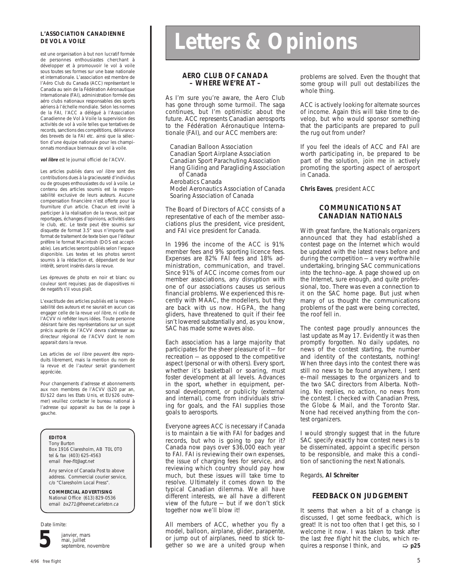#### **L'ASSOCIATION CANADIENNE DE VOL A VOILE**

est une organisation à but non lucratif formée de personnes enthousiastes cherchant à développer et à promouvoir le vol à voile sous toutes ses formes sur une base nationale et internationale. L'association est membre de l'Aéro Club du Canada (ACC) représentant le Canada au sein de la Fédération Aéronautique Internationale (FAI), administration formée des aéro clubs nationaux responsables des sports aériens à l'échelle mondiale. Selon les normes de la FAI, l'ACC a délégué à l'Association Canadienne de Vol à Voile la supervision des activités de vol à voile telles que tentatives de records, sanctions des compétitions, délivrance des brevets de la FAI etc. ainsi que la sélection d'une équipe nationale pour les championnats mondiaux biennaux de vol à voile.

**vol libre** est le journal officiel de l'ACVV.

Les articles publiés dans vol libre sont des contributions dues à la gracieuseté d'individus ou de groupes enthousiastes du vol à voile. Le contenu des articles soumis est la responsabilité exclusive de leurs auteurs. Aucune compensation financière n'est offerte pour la fourniture d'un article. Chacun est invité à participer à la réalisation de la revue, soit par reportages, échanges d'opinions, activités dans le club, etc. Le texte peut être soumis sur disquette de format 3.5" sous n'importe quel format de traitement de texte bien que l'éditeur préfère le format Macintosh (DOS est acceptable). Les articles seront publiés selon l'espace disponible. Les textes et les photos seront soumis à la rédaction et, dépendant de leur intérêt, seront insérés dans la revue.

Les épreuves de photo en noir et blanc ou couleur sont requises; pas de diapositives ni de negatifs s'il vous plaît.

L'exactitude des articles publiés est la responsabilité des auteurs et ne saurait en aucun cas engager celle de la revue vol libre, ni celle de l'ACVV ni refléter leurs idées. Toute personne désirant faire des représentations sur un sujet précis auprès de l'ACVV devra s'adresser au directeur régional de l'ACVV dont le nom apparait dans la revue.

Les articles de vol libre peuvent être reproduits librement, mais la mention du nom de la revue et de l'auteur serait grandement appréciée.

Pour changements d'adresse et abonnements aux non membres de l'ACVV (\$20 par an, EU\$22 dans les Etats Unis, et EU\$26 outre– mer) veuillez contacter le bureau national à l'adresse qui apparait au bas de la page à gauche.

#### **EDITOR**

Tony Burton Box 1916 Claresholm, AB T0L 0T0 tel & fax (403) 625-4563 email free-flt@agt.net

Any service of Canada Post to above address. Commercial courier service, c/o "Claresholm Local Press".

**COMMERCIAL ADVERTISING** National Office (613) 829-0536 email bx271@freenet.carleton.ca

Date limite:



janvier, mars mai, juillet septembre, novembre

# **Letters & Opinions**

#### **AERO CLUB OF CANADA – WHERE WE'RE AT –**

As I'm sure you're aware, the Aero Club has gone through some turmoil. The saga continues, but I'm optimistic about the future. ACC represents Canadian aerosports to the Fédération Aéronautique Internationale (FAI), and our ACC members are:

Canadian Balloon Association Canadian Sport Airplane Association Canadian Sport Parachuting Association Hang Gliding and Paragliding Association of Canada

Aerobatics Canada Model Aeronautics Association of Canada

Soaring Association of Canada

The Board of Directors of ACC consists of a representative of each of the member associations plus the president, vice president, and FAI vice president for Canada.

In 1996 the income of the ACC is 91% member fees and 9% sporting licence fees. Expenses are 82% FAI fees and 18% administration, communication, and travel. Since 91% of ACC income comes from our member associations, any disruption with one of our associations causes us serious financial problems. We experienced this recently with MAAC, the modellers, but they are back with us now. HGPA, the hang gliders, have threatened to quit if their fee isn't lowered substantially and, as you know, SAC has made some waves also.

Each association has a large majority that participates for the sheer pleasure of it — for recreation — as opposed to the competitive aspect (personal or with others). Every sport, whether it's basketball or soaring, must foster development at all levels. Advances in the sport, whether in equipment, personal development, or publicity (external and internal), come from individuals striving for goals, and the FAI supplies those goals to aerosports.

Everyone agrees ACC is necessary if Canada is to maintain a tie with FAI for badges and records, but who is going to pay for it? Canada now pays over \$36,000 each year to FAI. FAI is reviewing their own expenses, the issue of charging fees for service, and reviewing which country should pay how much, but these issues will take time to resolve. Ultimately it comes down to the typical Canadian dilemma. We all have different interests, we all have a different view of the future — but if we don't stick together now we'll blow it!

All members of ACC, whether you fly a model, balloon, airplane, glider, parapente, or jump out of airplanes, need to stick together so we are a united group when problems are solved. Even the thought that some group will pull out destabilizes the whole thing.

ACC is actively looking for alternate sources of income. Again this will take time to develop, but who would sponsor something that the participants are prepared to pull the rug out from under?

If you feel the ideals of ACC and FAI are worth participating in, be prepared to be part of the solution, join me in actively promoting the sporting aspect of aerosport in Canada.

**Chris Eaves**, president ACC

#### **COMMUNICATIONS AT CANADIAN NATIONALS**

With great fanfare, the Nationals organizers announced that they had established a contest page on the Internet which would be updated with the latest news before and during the competition — a very worthwhile undertaking, bringing SAC communications into the techno–age. A page showed up on the Internet, sure enough, and quite professional, too. There was even a connection to it on the SAC home page. But just when many of us thought the communications problems of the past were being corrected, the roof fell in.

The contest page proudly announces the last update as May 17. Evidently it was then promptly forgotten. No daily updates, no news of the contest starting, the number and identity of the contestants, nothing! When three days into the contest there was still no news to be found anywhere, I sent e–mail messages to the organizers and to the two SAC directors from Alberta. Nothing. No replies, no action, no news from the contest. I checked with Canadian Press, the Globe & Mail, and the Toronto Star. None had received anything from the contest organizers.

I would strongly suggest that in the future SAC specify exactly how contest news is to be disseminated, appoint a specific person to be responsible, and make this a condition of sanctioning the next Nationals.

Regards, **Al Schreiter**

#### **FEEDBACK ON JUDGEMENT**

It seems that when a bit of a change is discussed, I get some feedback, which is great! It is not too often that I get this, so I welcome it now. I was taken to task after the last *free flight* hit the clubs, which re-<br>quires a response I think, and  $\Rightarrow$  **p25** quires a response I think, and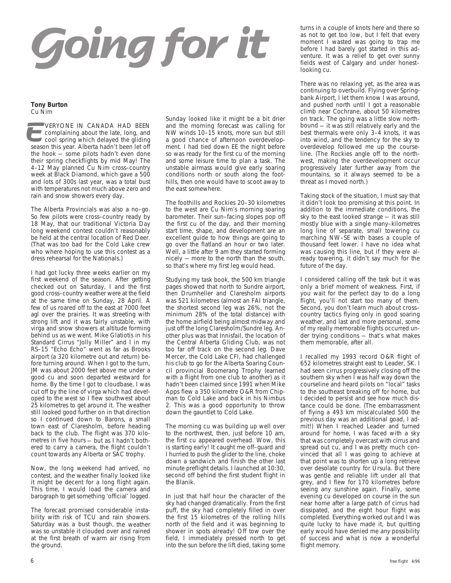# **Going for it**

#### **Tony Burton** Cu Nim

VERYONE IN CANADA HAD BEEN **Complaining about the late, long, and** cool spring which delayed the gliding **VERYONE IN CANADA HAD BEEN**<br>
cool spring which delayed the gliding<br>
season this year. Alberta hadn't been let off the hook — some pilots hadn't even done their spring checkflights by mid May! The 4–12 May planned Cu Nim cross–country week at Black Diamond, which gave a 500 and lots of 300s last year, was a total bust with temperatures not much above zero and rain and snow showers every day.

The Alberta Provincials was also a no–go. So few pilots were cross–country ready by 18 May, that our traditional Victoria Day long weekend contest couldn't reasonably be held at the central location of Red Deer. (That was too bad for the Cold Lake crew who where hoping to use this contest as a dress rehearsal for the Nationals.)

I had got lucky three weeks earlier on my first weekend of the season. After getting checked out on Saturday, I and the first good cross–country weather were at the field at the same time on Sunday, 28 April. A few of us roared off to the east at 7000 feet agl over the prairies. It was streeting with strong lift and it was fairly unstable, with virga and snow showers at altitude forming behind us as we went. Mike Glatiotis in his Standard Cirrus "Jolly Miller" and I in my RS–15 "Echo Echo" went as far as Brooks airport (a 320 kilometre out and return) before turning around. When I got to the turn, JM was about 2000 feet above me under a good cu and soon departed westward for home. By the time I got to cloudbase, I was cut off by the line of virga which had developed to the west so I flew southwest about 25 kilometres to get around it. The weather still looked good further on in that direction so I continued down to Barons, a small town east of Claresholm, before heading back to the club. The flight was 370 kilometres in five hours — but as I hadn't bothered to carry a camera, the flight couldn't count towards any Alberta or SAC trophy.

Now, the long weekend had arrived, no contest, and the weather finally looked like it might be decent for a long flight again. This time, I would load the camera and barograph to get something 'official' logged.

The forecast promised considerable instability with risk of TCU and rain showers. Saturday was a bust though, the weather was so unstable it clouded over and rained at the first breath of warm air rising from the ground.

Sunday looked like it might be a bit drier and the morning forecast was calling for NW winds 10–15 knots, more sun but still a good chance of afternoon overdevelopment. I had tied down EE the night before so was ready for the first cu of the morning and some leisure time to plan a task. The unstable airmass would give early soaring conditions north or south along the foothills, then one would have to scoot away to the east somewhere.

The foothills and Rockies 20–30 kilometres to the west are Cu Nim's morning soaring barometer. Their sun–facing slopes pop off the first cu of the day, and their morning start time, shape, and development are an excellent guide to how things are going to go over the flatland an hour or two later. Well, a little after 9 am they started forming nicely — more to the north than the south, so that's where my first leg would head.

Studying my task book, the 500 km triangle pages showed that north to Sundre airport, then Drumheller and Claresholm airports was 521 kilometres (almost an FAI triangle, the shortest second leg was 26%, not the minimum 28% of the total distance) with the home airfield being almost midway and just off the long Claresholm/Sundre leg. Another plus was that Innisfail, the location of the Central Alberta Gliding Club, was not too far off track on the second leg. Dave Mercer, the Cold Lake CFI, had challenged his club to go for the Alberta Soaring Council provincial Boomerang Trophy (earned with a flight from one club to another) as it hadn't been claimed since 1991 when Mike Apps flew a 350 kilometre O&R from Chipman to Cold Lake and back in his Nimbus 2. This was a good opportunity to throw down the gauntlet to Cold Lake.

The morning cu was building up well over to the northwest, then, just before 10 am, the first cu appeared overhead. Wow, this is starting early! It caught me off–guard and I hurried to push the glider to the line, choke down a sandwich and finish the other last minute preflight details. I launched at 10:30, second off behind the first student flight in the Blanik.

In just that half hour the character of the sky had changed dramatically. From the first puff, the sky had completely filled in over the first 15 kilometres of the rolling hills north of the field and it was beginning to shower in spots already! Off tow over the field, I immediately pressed north to get into the sun before the lift died, taking some turns in a couple of knots here and there so as not to get too low, but I felt that every moment I wasted was going to trap me before I had barely got started in this adventure. It was a relief to get over sunny fields west of Calgary and under honest– looking cu.

There was no relaxing yet, as the area was continuing to overbuild. Flying over Springbank Airport, I let them know I was around, and pushed north until I got a reasonable climb near Cochrane, about 50 kilometres on track. The going was a little slow northbound — it was still relatively early and the best thermals were only 3–4 knots, it was into wind, and the tendency for the sky to overdevelop followed me up the courseline. (The Rockies angle off to the northwest, making the overdevelopment occur progressively later further away from the mountains, so it always seemed to be a threat as I moved north.)

Taking stock of the situation, I must say that it didn't look too promising at this point. In addition to the immediate conditions, the sky to the east looked strange — it was still mostly blue with a single many–kilometres long line of separate, small towering cu marching NW–SE with bases a couple of thousand feet lower. I have no idea what was causing this line, but if they were already towering, it didn't say much for the future of the day.

I considered calling off the task but it was only a brief moment of weakness. First, if you wait for the perfect day to do a long flight, you'll not start too many of them. Second, you don't learn much about cross– country tactics flying only in good soaring weather, and last and more personal, some of my really memorable flights occurred under trying conditions — that's what makes them memorable, after all.

I recalled my 1993 record O&R flight of 652 kilometres straight east to Leader, SK. I had seen cirrus progressively closing off the southern sky when I was half way down the courseline and heard pilots on "local" tasks to the southeast breaking off for home, but I decided to persist and see how much distance could be done. (The embarrassment of flying a 493 km miscalculated 500 the previous day was an additional goad, I admit!) When I reached Leader and turned around for home, I was faced with a sky that was completely overcast with cirrus and spread out cu, and I was pretty much convinced that all I was going to achieve at that point was to shorten up a long retrieve over desolate country for Ursula. But there was gentle and reliable lift under all that grey, and I flew for 170 kilometres before seeing any sunshine again. Finally, some evening cu developed on course in the sun near home after a large patch of cirrus had dissipated, and the eight hour flight was completed. Everything worked out and I was quite lucky to have made it, but quitting early would have denied me any possibility of success and what is now a wonderful flight memory.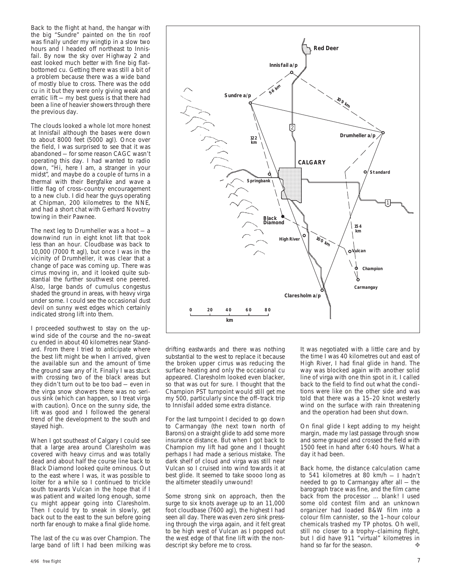Back to the flight at hand, the hangar with the big "Sundre" painted on the tin roof was finally under my wingtip in a slow two hours and I headed off northeast to Innisfail. By now the sky over Highway 2 and east looked much better with fine big flat– bottomed cu. Getting there was still a bit of a problem because there was a wide band of mostly blue to cross. There was the odd cu in it but they were only giving weak and erratic lift — my best guess is that there had been a line of heavier showers through there the previous day.

The clouds looked a whole lot more honest at Innisfail although the bases were down to about 8000 feet (5000 agl). Once over the field, I was surprised to see that it was abandoned — for some reason CAGC wasn't operating this day. I had wanted to radio down, "Hi, here I am, a stranger in your midst", and maybe do a couple of turns in a thermal with their Bergfalke and wave a little flag of cross–country encouragement to a new club. I did hear the guys operating at Chipman, 200 kilometres to the NNE, and had a short chat with Gerhard Novotny towing in their Pawnee.

The next leg to Drumheller was a hoot — a downwind run in eight knot lift that took less than an hour. Cloudbase was back to 10,000 (7000 ft agl), but once I was in the vicinity of Drumheller, it was clear that a change of pace was coming up. There was cirrus moving in, and it looked quite substantial the further southwest one peered. Also, large bands of cumulus congestus shaded the ground in areas, with heavy virga under some. I could see the occasional dust devil on sunny west edges which certainly indicated strong lift into them.

I proceeded southwest to stay on the upwind side of the course and the no–sweat cu ended in about 40 kilometres near Standard. From there I tried to anticipate where the best lift might be when I arrived, given the available sun and the amount of time the ground saw any of it. Finally I was stuck with crossing two of the black areas but they didn't turn out to be too bad — even in the virga snow showers there was no serious sink (which can happen, so I treat virga with caution). Once on the sunny side, the lift was good and I followed the general trend of the development to the south and stayed high.

When I got southeast of Calgary I could see that a large area around Claresholm was covered with heavy cirrus and was totally dead and about half the course line back to Black Diamond looked quite ominous. Out to the east where I was, it was possible to loiter for a while so I continued to trickle south towards Vulcan in the hope that if I was patient and waited long enough, some cu might appear going into Claresholm. Then I could try to sneak in slowly, get back out to the east to the sun before going north far enough to make a final glide home.

The last of the cu was over Champion. The large band of lift I had been milking was



drifting eastwards and there was nothing substantial to the west to replace it because the broken upper cirrus was reducing the surface heating and only the occasional cu appeared. Claresholm looked even blacker, so that was out for sure. I thought that the Champion PST turnpoint would still get me my 500, particularly since the off–track trip to Innisfail added some extra distance.

For the last turnpoint I decided to go down to Carmangay (the next town north of Barons) on a straight glide to add some more insurance distance. But when I got back to Champion my lift had gone and I thought perhaps I had made a serious mistake. The dark shelf of cloud and virga was still near Vulcan so I cruised into wind towards it at best glide. It seemed to take soooo long as the altimeter steadily unwound!

Some strong sink on approach, then the surge to six knots average up to an 11,000 foot cloudbase (7600 agl), the highest I had seen all day. There was even zero sink pressing through the virga again, and it felt great to be high west of Vulcan as I popped out the west edge of that fine lift with the nondescript sky before me to cross.

It was negotiated with a little care and by the time I was 40 kilometres out and east of High River, I had final glide in hand. The way was blocked again with another solid line of virga with one thin spot in it. I called back to the field to find out what the conditions were like on the other side and was told that there was a 15–20 knot westerly wind on the surface with rain threatening and the operation had been shut down.

On final glide I kept adding to my height margin, made my last passage through snow and some graupel and crossed the field with 1500 feet in hand after 6:40 hours. What a day it had been.

Back home, the distance calculation came to 541 kilometres at 80 km/h — I hadn't needed to go to Carmangay after all — the barograph trace was fine, and the film came back from the processor ... blank! I used some old contest film and an unknown organizer had loaded B&W film into a colour film cannister, so the 1–hour colour chemicals trashed my TP photos. Oh well, still no closer to a trophy–claiming flight, but I did have 911 "virtual" kilometres in hand so far for the season hand so far for the season.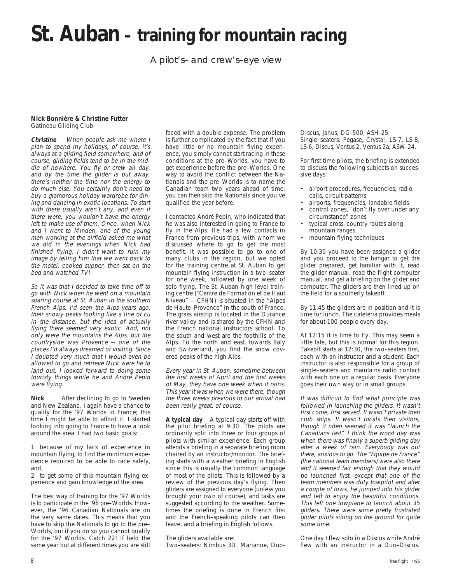### **St. Auban – training for mountain racing**

A pilot's– and crew's–eye view

#### **Nick Bonnière & Christine Futter** Gatineau Gliding Club

**Christine** When people ask me where I plan to spend my holidays, of course, it's always at a gliding field somewhere, and of course, gliding fields tend to be in the middle of nowhere. You fly or crew all day, and by the time the glider is put away, there's neither the time nor the energy to do much else. You certainly don't need to buy a glamorous holiday wardrobe for dining and dancing in exotic locations. To start with there usually aren't any, and even if there were, you wouldn't have the energy left to make use of them. Once, when Nick and I went to Minden, one of the young men working at the airfield asked me what we did in the evenings when Nick had finished flying. I didn't want to ruin my image by telling him that we went back to the motel, cooked supper, then sat on the bed and watched TV!

So it was that I decided to take time off to go with Nick when he went on a mountain soaring course at St. Auban in the southern French Alps. I'd seen the Alps years ago, their snowy peaks looking like a line of cu in the distance, but the idea of actually flying there seemed very exotic. And, not only were the mountains the Alps, but the countryside was Provence — one of the places I'd always dreamed of visiting. Since I doubted very much that I would even be allowed to go and retrieve Nick were he to land out, I looked forward to doing some touristy things while he and André Pepin were flying.

**Nick** After declining to go to Sweden and New Zealand, I again have a chance to qualify for the '97 Worlds in France; this time I might be able to afford it. I started looking into going to France to have a look around the area. I had two basic goals:

1 because of my lack of experience in mountain flying, to find the minimum experience required to be able to race safely, and,

2 to get some of this mountain flying experience and gain knowledge of the area.

The best way of training for the '97 Worlds is to participate in the '96 pre–Worlds. However, the '96 Canadian Nationals are on the very same dates. This means that you have to skip the Nationals to go to the pre– Worlds, but if you do so you cannot qualify for the '97 Worlds. Catch 22! If held the same year but at different times you are still

faced with a double expense. The problem is further complicated by the fact that if you have little or no mountain flying experience, you simply cannot start racing in these conditions at the pre–Worlds, you have to get experience before the pre–Worlds. One way to avoid the conflict between the Nationals and the pre–Worlds is to name the Canadian team two years ahead of time; you can then skip the Nationals since you've qualified the year before.

I contacted André Pepin, who indicated that he was also interested in going to France to fly in the Alps. He had a few contacts in France from previous trips, with whom we discussed where to go to get the most benefit. It was possible to go to one of many clubs in the region, but we opted for the training centre at St. Auban to get mountain flying instruction in a two–seater for one week, followed by one week of solo flying. The St. Auban high level training centre ("Centre de Formation et de Haut Niveau" — CFHN) is situated in the "Alpes de Haute–Provence" in the south of France. The grass airstrip is located in the Durance river valley and is shared by the CFHN and the French national instructors school. To the south and west are the foothills of the Alps. To the north and east, towards Italy and Switzerland, you find the snow covered peaks of the high Alps.

Every year in St. Auban, sometime between the first weeks of April and the first weeks of May, they have one week when it rains. This year it was when we were there, though the three weeks previous to our arrival had been really great, of course.

**A typical day** A typical day starts off with the pilot briefing at 9:30. The pilots are ordinarily split into three or four groups of pilots with similar experience. Each group attends a briefing in a separate briefing room chaired by an instructor/monitor. The briefing starts with a weather briefing in English since this is usually the common language of most of the pilots. This is followed by a review of the previous day's flying. Then gliders are assigned to everyone (unless you brought your own of course), and tasks are suggested according to the weather. Sometimes the briefing is done in French first and the French–speaking pilots can then leave, and a briefing in English follows.

The gliders available are:

Two–seaters: Nimbus 3D, Marianne, Duo-

Discus, Janus, DG-500, ASH-25 Single–seaters: Pegase, Crystal, LS-7, LS-8, LS-6, Discus, Ventus 2, Ventus 2a, ASW-24.

For first time pilots, the briefing is extended to discuss the following subjects on successive days:

- airport procedures, frequencies, radio calls, circuit patterns
- airports, frequencies, landable fields
- control zones, "don't fly over under any circumstance" zones
- typical cross–country routes along mountain ranges
- mountain flying techniques

By 10:30 you have been assigned a glider and you proceed to the hangar to get the glider prepared, get familiar with it, read the glider manual, read the flight computer manual, and get a briefing on the glider and computer. The gliders are then lined up on the field for a southerly takeoff.

By 11:45 the gliders are in position and it is time for lunch. The cafeteria provides meals for about 100 people every day.

At 12:15 it is time to fly. This may seem a little late, but this is normal for this region. Takeoff starts at 12:30, the two–seaters first, each with an instructor and a student. Each instructor is also responsible for a group of single–seaters and maintains radio contact with each one on a regular basis. Everyone goes their own way or in small groups.

It was difficult to find what principle was followed in launching the gliders. It wasn't first come, first served. It wasn't private then club ships. It wasn't locals then visitors, though it often seemed it was "launch the Canadians last". I think the worst day was when there was finally a superb gliding day after a week of rain. Everybody was out there, anxious to go. The "Equipe de France" (the national team members) were also there and it seemed fair enough that they would be launched first, except that one of the team members was duty towpilot and after a couple of tows, he jumped into his glider and left to enjoy the beautiful conditions. This left one towplane to launch about 35 gliders. There were some pretty frustrated glider pilots sitting on the ground for quite some time.

One day I flew solo in a Discus while André flew with an instructor in a Duo–Discus.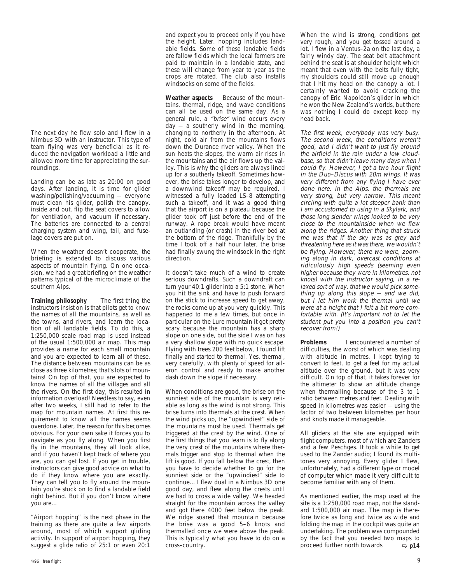The next day he flew solo and I flew in a Nimbus 3D with an instructor. This type of team flying was very beneficial as it reduced the navigation workload a little and allowed more time for appreciating the surroundings.

Landing can be as late as 20:00 on good days. After landing, it is time for glider washing/polishing/vacuuming — everyone must clean his glider, polish the canopy, inside and out, flip the seat covers to allow for ventilation, and vacuum if necessary. The batteries are connected to a central charging system and wing, tail, and fuselage covers are put on.

When the weather doesn't cooperate, the briefing is extended to discuss various aspects of mountain flying. On one occasion, we had a great briefing on the weather patterns typical of the microclimate of the southern Alps.

**Training philosophy** The first thing the instructors insist on is that pilots get to know the names of all the mountains, as well as the towns, and rivers, and learn the location of all landable fields. To do this, a 1:250,000 scale road map is used instead of the usual 1:500,000 air map. This map provides a name for each small mountain and you are expected to learn all of these. The distance between mountains can be as close as three kilometres; that's lots of mountains! On top of that, you are expected to know the names of all the villages and all the rivers. On the first day, this resulted in information overload! Needless to say, even after two weeks, I still had to refer to the map for mountain names. At first this requirement to know all the names seems overdone. Later, the reason for this becomes obvious. For your own sake it forces you to navigate as you fly along. When you first fly in the mountains, they all look alike, and if you haven't kept track of where you are, you can get lost. If you get in trouble, instructors can give good advice on what to do if they know where you are exactly. They can tell you to fly around the mountain you're stuck on to find a landable field right behind. But if you don't know where you are...

"Airport hopping" is the next phase in the training as there are quite a few airports around, most of which support gliding activity. In support of airport hopping, they suggest a glide ratio of 25:1 or even 20:1

and expect you to proceed only if you have the height. Later, hopping includes landable fields. Some of these landable fields are fallow fields which the local farmers are paid to maintain in a landable state, and these will change from year to year as the crops are rotated. The club also installs windsocks on some of the fields.

Weather aspects Because of the mountains, thermal, ridge, and wave conditions can all be used on the same day. As a general rule, a "brise" wind occurs every day — a southerly wind in the morning, changing to northerly in the afternoon. At night, cold air from the mountains flows down the Durance river valley. When the sun heats the slopes, the warm air rises in the mountains and the air flows up the valley. This is why the gliders are always lined up for a southerly takeoff. Sometimes however, the brise takes longer to develop, and a downwind takeoff may be required. I witnessed a fully loaded LS–8 attempting such a takeoff, and it was a good thing that the airport is on a plateau because the glider took off just before the end of the runway. A rope break would have meant an outlanding (or crash) in the river bed at the bottom of the ridge. Thankfully by the time I took off a half hour later, the brise had finally swung the windsock in the right direction.

It doesn't take much of a wind to create serious downdrafts. Such a downdraft can turn your 40:1 glider into a 5:1 stone. When you hit the sink and have to push forward on the stick to increase speed to get away, the rocks come up at you very quickly. This happened to me a few times, but once in particular on the Lure mountain it got pretty scary because the mountain has a sharp slope on one side, but the side I was on has a very shallow slope with no quick escape. Flying with trees 200 feet below, I found lift finally and started to thermal. Yes, thermal, very carefully, with plenty of speed for aileron control and ready to make another dash down the slope if necessary.

When conditions are good, the brise on the sunniest side of the mountain is very reliable as long as the wind is not strong. This brise turns into thermals at the crest. When the wind picks up, the "upwindiest" side of the mountains must be used. Thermals get triggered at the crest by the wind. One of the first things that you learn is to fly along the very crest of the mountains where thermals trigger and stop to thermal when the lift is good. If you fall below the crest, then you have to decide whether to go for the sunniest side or the "upwindiest" side to continue... I flew dual in a Nimbus 3D one good day, and flew along the crests until we had to cross a wide valley. We headed straight for the mountain across the valley and got there 4000 feet below the peak. We ridge soared that mountain because the brise was a good 5–6 knots and thermalled once we were above the peak. This is typically what you have to do on a

When the wind is strong, conditions get very rough, and you get tossed around a lot. I flew in a Ventus–2a on the last day, a fairly windy day. The seat belt attachment behind the seat is at shoulder height which meant that even with the belts fully tight, my shoulders could still move up enough that I hit my head on the canopy a lot. I certainly wanted to avoid cracking the canopy of Eric Napoléon's glider in which he won the New Zealand's worlds, but there was nothing I could do except keep my head back.

The first week, everybody was very busy. The second week, the conditions weren't good, and I didn't want to just fly around the airfield in the rain under a low cloudbase, so that didn't leave many days when I could fly. However, I got a two hour flight in the Duo–Discus with 20m wings. It was very different from any flying I have ever done here. In the Alps, the thermals are very strong, but very narrow. This meant circling with quite a lot steeper bank than I am accustomed to using in a Skylark, and those long slender wings looked to be very close to the mountainside when we flew along the ridges. Another thing that struck me was that if the sky was as grey and threatening here as it was there, we wouldn't be flying. However, there we were, zooming along in dark, overcast conditions at ridiculously high speeds (seeming even higher because they were in kilometres, not knots) with the instructor saying, in a relaxed sort of way, that we would pick something up along this slope — and we did, but I let him work the thermal until we were at a height that I felt a bit more comfortable with. (It's important not to let the student put you into a position you can't recover from!)

**Problems** I encountered a number of difficulties, the worst of which was dealing with altitude in metres. I kept trying to convert to feet, to get a feel for my actual altitude over the ground, but it was very difficult. On top of that, it takes forever for the altimeter to show an altitude change when thermalling because of the 3 to 1 ratio between metres and feet. Dealing with speed in kilometres was easier — using the factor of two between kilometres per hour and knots made it manageable.

All gliders at the site are equipped with flight computers, most of which are Zanders and a few Peschges. It took a while to get used to the Zander audio; I found its multitones very annoying. Every glider I flew, unfortunately, had a different type or model of computer which made it very difficult to become familiar with any of them.

As mentioned earlier, the map used at the site is a 1:250,000 road map, not the standard 1:500,000 air map. The map is therefore twice as long and twice as wide and folding the map in the cockpit was quite an undertaking. The problem was compounded by the fact that you needed two maps to<br>proceed further north towards  $\Rightarrow$  p14 proceed further north towards cross–country. ➯ **p14**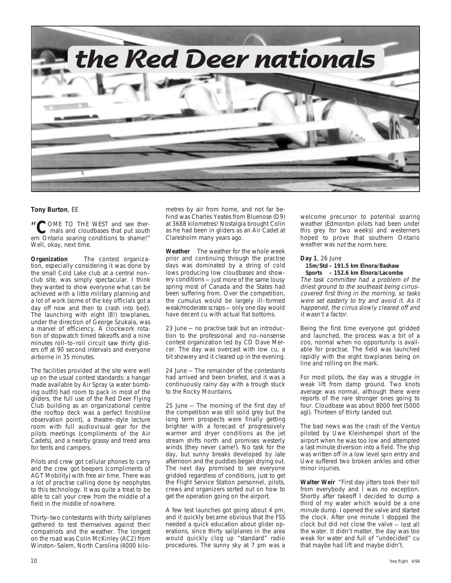

#### **Tony Burton**, EE

"COME TO THE WEST and see ther-<br> **COME TO THE WEST and see ther-**<br> **COME TO THE WEST and see there** ern Ontario soaring conditions to shame!" Well, okay, next time.

**Organization** The contest organization, especially considering it was done by the small Cold Lake club at a central non– club site, was simply spectacular. I think they wanted to show everyone what can be achieved with a little military planning and a lot of work (some of the key officials got a day off now and then to crash into bed). The launching with eight (8!) towplanes, under the direction of George Szukala, was a marvel of efficiency. A clockwork rotation of stopwatch timed takeoffs and a nine minutes roll–to–roll circuit saw thirty gliders off at 90 second intervals and everyone airborne in 35 minutes.

The facilities provided at the site were well up on the usual contest standards: a hangar made available by Air Spray (a water bombing outfit) had room to pack in most of the gliders, the full use of the Red Deer Flying Club building as an organizational centre (the rooftop deck was a perfect finishline observation point), a theatre–style lecture room with full audiovisual gear for the pilots meetings (compliments of the Air Cadets), and a nearby grassy and treed area for tents and campers.

Pilots and crew got cellular phones to carry and the crew got beepers (compliments of AGT Mobility) with free air time. There was a lot of practise calling done by neophytes to this technology. It was quite a treat to be able to call your crew from the middle of a field in the middle of nowhere.

Thirty–two contestants with thirty sailplanes gathered to test themselves against their compatriots and the weather. The longest on the road was Colin McKinley (AC2) from Winston–Salem, North Carolina (4000 kilometres by air from home, and not far behind was Charles Yeates from Bluenose (D9) at 3688 kilometres! Nostalgia brought Colin as he had been in gliders as an Air Cadet at Claresholm many years ago.

**Weather** The weather for the whole week prior and continuing through the practise days was dominated by a string of cold lows producing low cloudbases and showery conditions — just more of the same lousy spring most of Canada and the States had been suffering from. Over the competition, the cumulus would be largely ill–formed weak/moderate scraps — only one day would have decent cu with actual flat bottoms.

23 June — no practise task but an introduction to the professional and no–nonsense contest organization led by CD Dave Mercer. The day was overcast with low cu, a bit showery and it cleared up in the evening.

24 June — The remainder of the contestants had arrived and been briefed, and it was a continuously rainy day with a trough stuck to the Rocky Mountains.

25 June — The morning of the first day of the competition was still solid grey but the long term prospects were finally getting brighter with a forecast of progressively warmer and dryer conditions as the jet stream shifts north and promises westerly winds (they never came!). No task for the day, but sunny breaks developed by late afternoon and the puddles began drying out. The next day promised to see everyone gridded regardless of conditions, just to get the Flight Service Station personnel, pilots, crews and organizers sorted out on how to get the operation going on the airport.

A few test launches got going about 4 pm, and it quickly became obvious that the FSS needed a quick education about glider operations, since thirty sailplanes in the area would quickly clog up "standard" radio procedures. The sunny sky at 7 pm was a

welcome precursor to potential soaring weather (Edmonton pilots had been under this grey for two weeks) and westerners hoped to prove that southern Ontario weather was not the norm here.

**Day 1**, 26 June

#### **15m/Std – 191.5 km Elnora/Bashaw Sports – 152.6 km Elnora/Lacombe**

The task committee had a problem of the driest ground to the southeast being cirrus– covered first thing in the morning, so tasks were set easterly to try and avoid it. As it happened, the cirrus slowly cleared off and it wasn't a factor.

Being the first time everyone got gridded and launched, the process was a bit of a zoo, normal when no opportunity is available for practise. The field was launched rapidly with the eight towplanes being on line and rolling on the mark.

For most pilots, the day was a struggle in weak lift from damp ground. Two knots average was normal, although there were reports of the rare stronger ones going to four. Cloudbase was about 8000 feet (5000 agl). Thirteen of thirty landed out.

The bad news was the crash of the Ventus piloted by Uwe Kleinhempel short of the airport when he was too low and attempted a last minute diversion into a field. The ship was written off in a low level spin entry and Uwe suffered two broken ankles and other minor injuries.

**Walter Weir** "First day jitters took their toll from everybody and I was no exception. Shortly after takeoff I decided to dump a third of my water which would be a one minute dump. I opened the valve and started the clock. After one minute I stopped the clock but did not close the valve — lost all the water. It didn't matter, the day was too weak for water and full of "undecided" cu that maybe had lift and maybe didn't.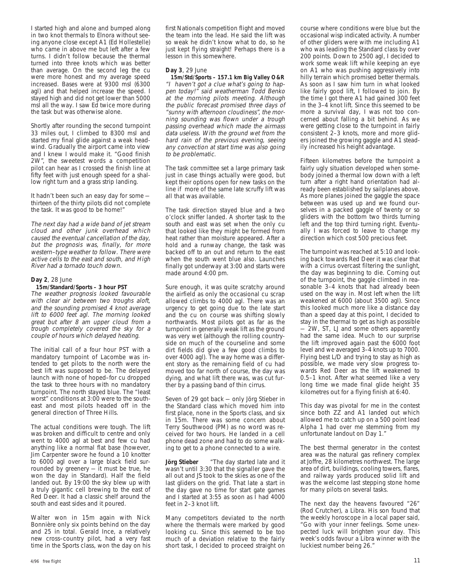I started high and alone and bumped along in two knot thermals to Elnora without seeing anyone close except A1 (Ed Hollestelle) who came in above me but left after a few turns. I didn't follow because the thermal turned into three knots which was better than average. On the second leg the cu were more honest and my average speed increased. Bases were at 9300 msl (6300 agl) and that helped increase the speed. I stayed high and did not get lower than 5000 msl all the way. I saw Ed twice more during the task but was otherwise alone.

Shortly after rounding the second turnpoint 33 miles out, I climbed to 8300 msl and started my final glide against a weak headwind. Gradually the airport came into view and I knew I would make it. "Good finish 2W", the sweetest words a competition pilot can hear as I crossed the finish line at fifty feet with just enough speed for a shallow right turn and a grass strip landing.

It hadn't been such an easy day for some thirteen of the thirty pilots did not complete the task. It was good to be home!"

The next day had a wide band of jet stream cloud and other junk overhead which caused the eventual cancellation of the day, but the prognosis was, finally, for more western–type weather to follow. There were active cells to the east and south, and High River had a tornado touch down.

#### **Day 2**, 28 June

#### **15m/Standard/Sports – 3 hour PST**

The weather prognosis looked favourable with clear air between two troughs aloft, and the sounding promised 4 knot average lift to 6000 feet agl. The morning looked great but after 8 am upper cloud from a trough completely covered the sky for a couple of hours which delayed heating.

The initial call of a four hour PST with a mandatory turnpoint of Lacombe was intended to get pilots to the north were the best lift was supposed to be. The delayed launch with none of hoped–for cu dropped the task to three hours with no mandatory turnpoint. The north stayed blue. The "least worst" conditions at 3:00 were to the southeast and most pilots headed off in the general direction of Three Hills.

The actual conditions were tough. The lift was broken and difficult to centre and only went to 4000 agl at best and few cu had anything like a normal flat base (however, Jim Carpenter swore he found a 10 knotter to 6000 agl over a large black field surrounded by greenery — it must be true, he won the day in Standard). Half the field landed out. By 19:00 the sky blew up with a truly gigantic cell brewing to the east of Red Deer. It had a classic shelf around the south and east sides and it poured.

Walter won in 15m again with Nick Bonnière only six points behind on the day and 25 in total. Gerald Ince, a relatively new cross–country pilot, had a very fast time in the Sports class, won the day on his

first Nationals competition flight and moved the team into the lead. He said the lift was so weak he didn't know what to do, so he just kept flying straight! Perhaps there is a lesson in this somewhere.

#### **Day 3**, 29 June

 **15m/Std/Sports – 157.1 km Big Valley O&R** "I haven't got a clue what's going to happen today!" said weatherman Todd Benko at the morning pilots meeting. Although the public forecast promised three days of "sunny with afternoon cloudiness", the morning sounding was flown under a trough passing overhead which made the airmass data useless. With the ground wet from the hard rain of the previous evening, seeing any convection at start time was also going to be problematic.

The task committee set a large primary task just in case things actually were good, but kept their options open for new tasks on the line if more of the same late scruffy lift was all that was available.

The task direction stayed blue and a two o'clock sniffer landed. A shorter task to the south and east was set when the only cu that looked like they might be formed from heat rather than moisture appeared. After a hold and a runway change, the task was backed off to an out and return to the east when the south went blue also. Launches finally got underway at 3:00 and starts were made around 4:00 pm.

Sure enough, it was quite scratchy around the airfield as only the occasional cu scrap allowed climbs to 4000 agl. There was an urgency to get going due to the late start and the cu on course was shifting slowly northwards. Most pilots got as far as the turnpoint in generally weak lift as the ground was very wet (although the rolling countryside on much of the courseline and some dirt fields did give a few good climbs to over 4000 agl). The way home was a different story as the remaining field of cu had moved too far north of course, the day was dying, and what lift there was, was cut further by a passing band of thin cirrus.

Seven of 29 got back — only Jörg Stieber in the Standard class which moved him into first place, none in the Sports class, and six in 15m. There was some concern about Terry Southwood (PM) as no word was received for two hours. He landed in a cell phone dead zone and had to do some walking to get to a phone connected to a wire.

**Jörg Stieber** "The day started late and it wasn't until 3:30 that the signaller gave the all out and JS took to the skies as one of the last gliders on the grid. That late a start in the day gave no time for start gate games and I started at 3:55 as soon as I had 4000 feet in 2–3 knot lift.

Many competitors deviated to the north where the thermals were marked by good looking cu. Since this seemed to be too much of a deviation relative to the fairly short task, I decided to proceed straight on

course where conditions were blue but the occasional wisp indicated activity. A number of other gliders were with me including A1 who was leading the Standard class by over 200 points. Down to 2500 agl, I decided to work some weak lift while keeping an eye on A1 who was pushing aggressively into hilly terrain which promised better thermals. As soon as I saw him turn in what looked like fairly good lift, I followed to join. By the time I got there A1 had gained 300 feet in the 3–4 knot lift. Since this seemed to be more a survival day, I was not too concerned about falling a bit behind. As we were getting close to the turnpoint in fairly consistent 2–3 knots, more and more gliders joined the growing gaggle and A1 steadily increased his height advantage.

Fifteen kilometres before the turnpoint a fairly ugly situation developed when somebody joined a thermal low down with a left turn after a right hand orientation had already been established by sailplanes above. As more planes joined the gaggle the space between was used up and we found ourselves in a packed gaggle of twenty or so gliders with the bottom two thirds turning left and the top third turning right. Eventually I was forced to leave to change my direction which cost 500 precious feet.

The turnpoint was reached at 5:10 and looking back towards Red Deer it was clear that with a cirrus overcast filtering the sunlight, the day was beginning to die. Coming out of the turnpoint, the gaggle climbed in reasonable 3–4 knots that had already been used on the way in. Most left when the lift weakened at 6000 (about 3500 agl). Since this looked much more like a distance day than a speed day at this point, I decided to stay in the thermal to get as high as possible — 2W, ST, LJ and some others apparently had the same idea. Much to our surprise the lift improved again past the 6000 foot level and we averaged 3–4 knots up to 7000. Flying best L/D and trying to stay as high as possible, we made very slow progress towards Red Deer as the lift weakened to 0.5–1 knot. After what seemed like a very long time we made final glide height 35 kilometres out for a flying finish at 6:40.

This day was pivotal for me in the contest since both ZZ and A1 landed out which allowed me to catch up on a 500 point lead Alpha 1 had over me stemming from my unfortunate landout on Day 1."

The best thermal generator in the contest area was the natural gas refinery complex at Joffre, 28 kilometres northwest. The large area of dirt, buildings, cooling towers, flares, and railway yards produced solid lift and was the welcome last stepping stone home for many pilots on several tasks.

The next day the heavens favoured "26" (Rod Crutcher), a Libra. His son found that the weekly horoscope in a local paper said, "Go with your inner feelings. Some unexpected luck will brighten your day. This week's odds favour a Libra winner with the luckiest number being 26."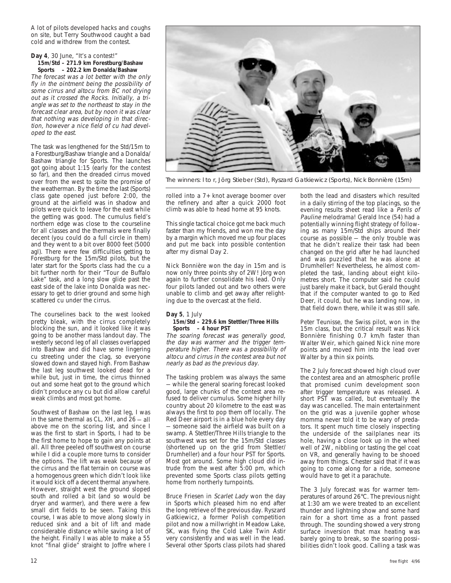A lot of pilots developed hacks and coughs on site, but Terry Southwood caught a bad cold and withdrew from the contest.

#### **Day 4**, 30 June, "It's a contest!"  **15m/Std – 271.9 km Forestburg/Bashaw**

 **Sports – 202.2 km Donalda/Bashaw** The forecast was a lot better with the only fly in the ointment being the possibility of some cirrus and altocu from BC not drying out as it crossed the Rocks. Initially, a triangle was set to the northeast to stay in the forecast clear area, but by noon it was clear that nothing was developing in that direction, however a nice field of cu had developed to the east.

The task was lengthened for the Std/15m to a Forestburg/Bashaw triangle and a Donalda/ Bashaw triangle for Sports. The launches got going about 1:15 (early for the contest so far), and then the dreaded cirrus moved over from the west to spite the promise of the weatherman. By the time the last (Sports) class gate opened just before 2:00, the ground at the airfield was in shadow and pilots were quick to leave for the east while the getting was good. The cumulus field's northern edge was close to the courseline for all classes and the thermals were finally decent (you could do a full circle in them) and they went to a bit over 8000 feet (5000 agl). There were few difficulties getting to Forestburg for the 15m/Std pilots, but the later start for the Sports class had the cu a bit further north for their "Tour de Buffalo Lake" task, and a long slow glide past the east side of the lake into Donalda was necessary to get to drier ground and some high scattered cu under the cirrus.

The courselines back to the west looked pretty bleak, with the cirrus completely blocking the sun, and it looked like it was going to be another mass landout day. The westerly second leg of all classes overlapped into Bashaw and did have some lingering cu streeting under the clag, so everyone slowed down and stayed high. From Bashaw the last leg southwest looked dead for a while but, just in time, the cirrus thinned out and some heat got to the ground which didn't produce any cu but did allow careful weak climbs and most got home.

Southwest of Bashaw on the last leg, I was in the same thermal as CL, XH, and 26 — all above me on the scoring list, and since I was the first to start in Sports, I had to be the first home to hope to gain any points at all. All three peeled off southwest on course while I did a couple more turns to consider the options. The lift was weak because of the cirrus and the flat terrain on course was a homogenous green which didn't look like it would kick off a decent thermal anywhere. However, straight west the ground sloped south and rolled a bit (and so would be dryer and warmer), and there were a few small dirt fields to be seen. Taking this course, I was able to move along slowly in reduced sink and a bit of lift and made considerable distance while saving a lot of the height. Finally I was able to make a 55 knot "final glide" straight to Joffre where I



The winners: l to r, Jörg Stieber (Std), Ryszard Gatkiewicz (Sports), Nick Bonnière (15m)

rolled into a 7+ knot average boomer over the refinery and after a quick 2000 foot climb was able to head home at 95 knots.

This single tactical choice got me back much faster than my friends, and won me the day by a margin which moved me up four places and put me back into possible contention after my dismal Day 2.

Nick Bonnière won the day in 15m and is now only three points shy of 2W! Jörg won again to further consolidate his lead. Only four pilots landed out and two others were unable to climb and get away after relighting due to the overcast at the field.

### **Day 5**, 1 July

#### **15m/Std – 229.6 km Stettler/Three Hills Sports – 4 hour PST**

The soaring forecast was generally good, the day was warmer and the trigger temperature higher. There was a possibility of altocu and cirrus in the contest area but not nearly as bad as the previous day.

The tasking problem was always the same — while the general soaring forecast looked good, large chunks of the contest area refused to deliver cumulus. Some higher hilly country about 20 kilometre to the east was always the first to pop them off locally. The Red Deer airport is in a blue hole every day — someone said the airfield was built on a swamp. A Stettler/Three Hills triangle to the southwest was set for the 15m/Std classes (shortened up on the grid from Stettler/ Drumheller) and a four hour PST for Sports. Most got around. Some high cloud did intrude from the west after 5:00 pm, which prevented some Sports class pilots getting home from northerly turnpoints.

Bruce Friesen in Scarlet Lady won the day in Sports which pleased him no end after the long retrieve of the previous day. Ryszard Gatkiewicz, a former Polish competition pilot and now a millwright in Meadow Lake, SK, was flying the Cold Lake Twin Astir very consistently and was well in the lead. Several other Sports class pilots had shared

both the lead and disasters which resulted in a daily stirring of the top placings, so the evening results sheet read like a Perils of Pauline melodrama! Gerald Ince (54) had a potentially winning flight strategy of following as many 15m/Std ships around their course as possible — the only trouble was that he didn't realize their task had been changed on the grid after he had launched and was puzzled that he was alone at Drumheller! Nevertheless, he almost completed the task, landing about eight kilometres short. The computer said he could just barely make it back, but Gerald thought that if the computer wanted to go to Red Deer, it could, but he was landing now, in that field down there, while it was still safe.

Peter Teunisse, the Swiss pilot, won in the 15m class, but the critical result was Nick Bonnière finishing 0.7 km/h faster than Walter Weir, which gained Nick nine more points and moved him into the lead over Walter by a thin six points.

The 2 July forecast showed high cloud over the contest area and an atmospheric profile that promised cunim development soon after trigger temperature was released. A short PST was called, but eventually the day was cancelled. The main entertainment on the grid was a juvenile gopher whose momma never told it to be wary of predators. It spent much time closely inspecting the underside of the sailplanes near its hole, having a close look up in the wheel well of 2W, nibbling or tasting the gel coat on VR, and generally having to be shooed away from things. Chester said that if it was going to come along for a ride, someone would have to get it a parachute.

The 3 July forecast was for warmer temperatures of around 26°C. The previous night at 1:30 am we were treated to an excellent thunder and lightning show and some hard rain for a short time as a front passed through. The sounding showed a very strong surface inversion that max heating was barely going to break, so the soaring possibilities didn't look good. Calling a task was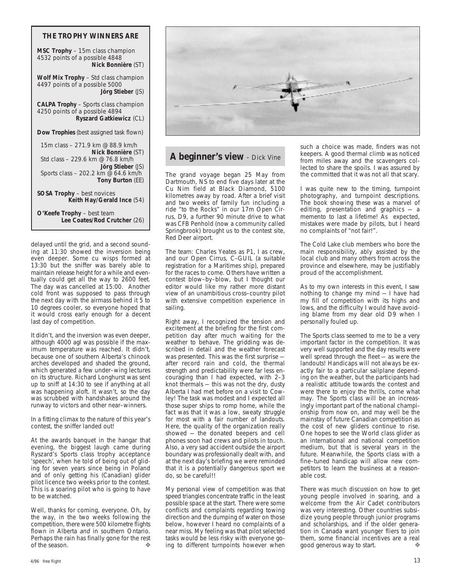#### **THE TROPHY WINNERS ARE**

**MSC Trophy** – 15m class champion 4532 points of a possible 4848 **Nick Bonnière** (ST)

**Wolf Mix Trophy** – Std class champion 4497 points of a possible 5000 **Jörg Stieber** (JS)

**CALPA Trophy** – Sports class champion 4250 points of a possible 4894 **Ryszard Gatkiewicz** (CL)

**Dow Trophies** (best assigned task flown)

 15m class – 271.9 km @ 88.9 km/h **Nick Bonnière** (ST) Std class – 229.6 km @ 76.8 km/h **Jörg Stieber** (JS) Sports class – 202.2 km @ 64.6 km/h **Tony Burton** (EE) **SOSA Trophy** – best novices **Keith Hay/Gerald Ince** (54)

**O'Keefe Trophy** – best team **Lee Coates/Rod Crutcher** (26)

delayed until the grid, and a second sounding at 11:30 showed the inversion being even deeper. Some cu wisps formed at 13:30 but the sniffer was barely able to maintain release height for a while and eventually could get all the way to 2600 feet. The day was cancelled at 15:00. Another cold front was supposed to pass through the next day with the airmass behind it 5 to 10 degrees cooler, so everyone hoped that it would cross early enough for a decent last day of competition.

It didn't, and the inversion was even deeper, although 4000 agl was possible if the maximum temperature was reached. It didn't, because one of southern Alberta's chinook arches developed and shaded the ground, which generated a few under–wing lectures on its structure. Richard Longhurst was sent up to sniff at 14:30 to see if anything at all was happening aloft. It wasn't, so the day was scrubbed with handshakes around the runway to victors and other near–winners.

In a fitting climax to the nature of this year's contest, the sniffer landed out!

At the awards banquet in the hangar that evening, the biggest laugh came during Ryszard's Sports class trophy acceptance 'speech', when he told of being out of gliding for seven years since being in Poland and of only getting his (Canadian) glider pilot licence two weeks prior to the contest. This is a soaring pilot who is going to have to be watched.

Well, thanks for coming, everyone. Oh, by the way, in the two weeks following the competition, there were 500 kilometre flights flown in Alberta and in southern Ontario. Perhaps the rain has finally gone for the rest<br>of the season of the season.



#### **A beginner's view** - Dick Vine

The grand voyage began 25 May from Dartmouth, NS to end five days later at the Cu Nim field at Black Diamond, 5100 kilometres away by road. After a brief visit and two weeks of family fun including a ride "to the Rocks" in our 17m Open Cirrus, D9, a further 90 minute drive to what was CFB Penhold (now a community called Springbrook) brought us to the contest site, Red Deer airport.

The team: Charles Yeates as P1, I as crew, and our Open Cirrus, C–GUIL (a suitable registration for a Maritimes ship), prepared for the races to come. Others have written a contest blow–by–blow, but I thought our editor would like my rather more distant view of an unambitious cross–country pilot with extensive competition experience in sailing.

Right away, I recognized the tension and excitement at the briefing for the first competition day after much waiting for the weather to behave. The gridding was described in detail and the weather forecast was presented. This was the first surprise after record rain and cold, the thermal strength and predictability were far less encouraging than I had expected, with 2–3 knot thermals — this was not the dry, dusty Alberta I had met before on a visit to Cowley! The task was modest and I expected all those super ships to romp home, while the fact was that it was a low, sweaty struggle for most with a fair number of landouts. Here, the quality of the organization really showed — the donated beepers and cell phones soon had crews and pilots in touch. Also, a very sad accident outside the airport boundary was professionally dealt with, and at the next day's briefing we were reminded that it is a potentially dangerous sport we do, so be careful!!

My personal view of competition was that speed triangles concentrate traffic in the least possible space at the start. There were some conflicts and complaints regarding towing direction and the dumping of water on those below, however I heard no complaints of a near miss. My feeling was that pilot selected tasks would be less risky with everyone going to different turnpoints however when such a choice was made, finders was not keepers. A good thermal climb was noticed from miles away and the scavengers collected to share the spoils. I was assured by the committed that it was not all that scary.

I was quite new to the timing, turnpoint photography, and turnpoint descriptions. The book showing these was a marvel of editing, presentation and graphics — a memento to last a lifetime! As expected, mistakes were made by pilots, but I heard no complaints of "not fair!".

The Cold Lake club members who bore the main responsibility, ably assisted by the local club and many others from across the province and elsewhere, may be justifiably proud of the accomplishment.

As to my own interests in this event, I saw nothing to change my mind — I have had my fill of competition with its highs and lows, and the difficulty I would have avoiding blame from my dear old D9 when I personally fouled up.

The Sports class seemed to me to be a very important factor in the competition. It was very well supported and the day results were well spread through the fleet — as were the landouts! Handicaps will not always be exactly fair to a particular sailplane depending on the weather, but the participants had a realistic attitude towards the contest and were there to enjoy the thrills, come what may. The Sports class will be an increasingly important part of the national championship from now on, and may well be the mainstay of future Canadian competition as the cost of new gliders continue to rise. One hopes to see the World class glider as an international and national competition medium, but that is several years in the future. Meanwhile, the Sports class with a fine–tuned handicap will allow new competitors to learn the business at a reasonable cost.

There was much discussion on how to get young people involved in soaring, and a welcome from the Air Cadet contributors was very interesting. Other countries subsidize young people through junior programs and scholarships, and if the older generation in Canada want younger fliers to join them, some financial incentives are a real good generous way to start.  $\bullet$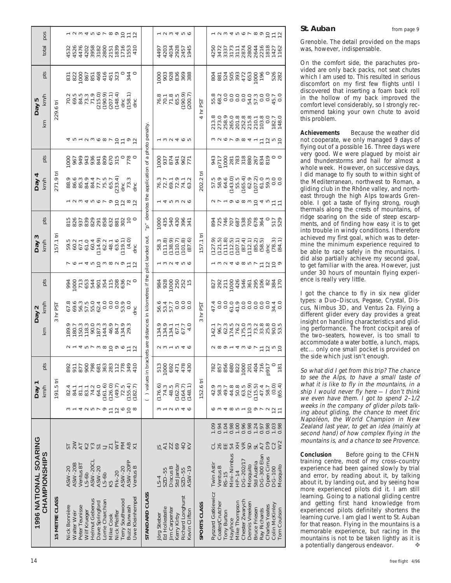| $70.5$ $0.9$ $0.9$ $0.9$ $0.9$ $0.9$ $0.9$ $0.9$ $0.9$ $0.9$ $0.9$ $0.9$ $0.9$ $0.9$ $0.9$ $0.9$ $0.9$ $0.9$ $0.9$ $0.9$ $0.9$ $0.9$ $0.9$ $0.9$ $0.9$ $0.9$ $0.9$ $0.9$ $0.9$ $0.9$ $0.9$ $0.9$ $0.9$<br><u>4 ru – U w O w U O L o U</u> |
|-------------------------------------------------------------------------------------------------------------------------------------------------------------------------------------------------------------------------------------------|
| awaroroppap                                                                                                                                                                                                                               |
| 8898898888950<br>88988989895                                                                                                                                                                                                              |
| $59.07 - 04.07$<br>$59.07 - 04.07$<br>$59.07 - 04.07$<br>$59.07 - 04.07$<br>$59.07 - 04.07$<br>$59.07 - 04.07$<br>$59.07 - 04.07$<br>o L 4 ru G w a v o L G                                                                               |
| 901940221922<br>9012402110327                                                                                                                                                                                                             |
| 4 ru r<br>877<br>900<br>881<br>892<br>911<br>81.1<br>83.1<br>74.2<br>82.4<br>84.1<br>4                                                                                                                                                    |
|                                                                                                                                                                                                                                           |

#### **St. Auban** from page 9

Grenoble. The detail provided on the maps was, however, indispensable.

On the comfort side, the parachutes provided are only back packs, not seat chutes which I am used to. This resulted in serious discomfort on my first few flights until I discovered that inserting a foam back roll in the hollow of my back improved the comfort level considerably, so I strongly recommend taking your own chute to avoid this problem.

**Achievements** Because the weather did not cooperate, we only managed 9 days of flying out of a possible 16. Three days were very good. We were plagued by moist air and thunderstorms and hail for almost a whole week. However, on successive days, I did manage to fly south to within sight of the Mediterranean, northwest to Roman, a gliding club in the Rhône valley, and northeast through the high Alps towards Grenoble. I got a taste of flying strong, rough thermals along the crests of mountains, of ridge soaring on the side of steep escarpments, and of finding how easy it is to get into trouble in windy conditions. I therefore achieved my first goal, which was to determine the minimum experience required to be able to race safely in the mountains. I did also partially achieve my second goal, to get familiar with the area. However, just under 30 hours of mountain flying experience is really very little.

I got the chance to fly in six new glider types: a Duo–Discus, Pegase, Crystal, Discus, Nimbus 3D, and Ventus 2a. Flying a different glider every day provides a great insight on handling characteristics and gliding performance. The front cockpit area of the two–seaters, however, is too small to accommodate a water bottle, a lunch, maps, etc... only one small pocket is provided on the side which just isn't enough.

So what did I get from this trip? The chance to see the Alps, to have a small taste of what it is like to fly in the mountains, in a ship I would never fly here  $-1$  don't think we even have them. I got to spend 2–1/2 weeks in the company of glider pilots talking about gliding, the chance to meet Eric Napoléon, the World Champion in New Zealand last year, to get an idea (mainly at second hand) of how complex flying in the mountains is, and a chance to see Provence.

**Conclusion** Before going to the CFHN training centre, most of my cross–country experience had been gained slowly by trial and error, by reading about it, by talking about it, by landing out, and by seeing how more experienced pilots did it. I am still learning. Going to a national gliding centre and getting first hand knowledge from experienced pilots definitely shortens the learning curve. I am glad I went to St. Auban for that reason. Flying in the mountains is a memorable experience, but racing in the mountains is not to be taken lightly as it is a potentially dangerous endeavor. ❖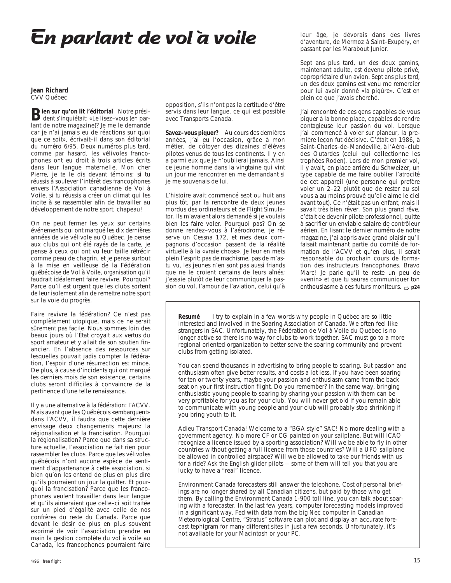### **En parlant de vol à voile**

**Jean Richard** CVV Québec

**Bien sur qu'on lit l'éditorial** Notre prési-<br>dent s'inquiétait: «Le lisez-vous (en parlant de notre magazine)? Je me le demande car je n'ai jamais eu de réactions sur quoi que ce soit», écrivait–il dans son éditorial du numéro 6/95. Deux numéros plus tard, comme par hasard, les vélivoles francophones ont eu droit à trois articles écrits dans leur langue maternelle. Mon cher Pierre, je te le dis devant témoins: si tu réussis à soulever l'intérêt des francophones envers l'Association canadienne de Vol à Voile, si tu réussis a créer un climat qui les incite à se rassembler afin de travailler au développement de notre sport, chapeau!

On ne peut fermer les yeux sur certains événements qui ont marqué les dix dernières années de vie vélivole au Québec. Je pense aux clubs qui ont été rayés de la carte, je pense à ceux qui ont vu leur taille rétrécir comme peau de chagrin, et je pense surtout à la mise en veilleuse de la Fédération québécoise de Vol à Voile, organisation qu'il faudrait idéalement faire revivre. Pourquoi? Parce qu'il est urgent que les clubs sortent de leur isolement afin de remettre notre sport sur la voie du progrès.

Faire revivre la fédération? Ce n'est pas complètement utopique, mais ce ne serait sûrement pas facile. Nous sommes loin des beaux jours où l'État croyait aux vertus du sport amateur et y allait de son soutien financier. En l'absence des ressources sur lesquelles pouvait jadis compter la fédération, I'espoir d'une résurrection est mince. De plus, à cause d'incidents qui ont marqué les derniers mois de son existence, certains clubs seront difficiles à convaincre de la pertinence d'une telle renaissance.

Il y a une alternative à la fédération: I'ACVV. Mais avant que les Québécois «embarquent» dans l'ACVV, il faudra que cette dernière envisage deux changements majeurs: la régionalisation et la francisation. Pourquoi la régionalisation? Parce que dans sa structure actuelle, I'association ne fait rien pour rassembler les clubs. Parce que les vélivoles québécois n'ont aucune espèce de sentiment d'appartenance à cette association, si bien qu'on les entend de plus en plus dire qu'ils pourraient un jour la quitter. Et pourquoi la francisation? Parce que les francophones veulent travailler dans leur langue et qu'ils aimeraient que celle–ci soit traitée sur un pied d'égalité avec celle de nos confrères du reste du Canada. Parce que devant le désir de plus en plus souvent exprimé de voir l'association prendre en main la gestion complète du vol à voile au Canada, les francophones pourraient faire opposition, s'ils n'ont pas la certitude d'être servis dans leur langue, ce qui est possible avec Transports Canada.

**Savez–vous piquer?** Au cours des dernières années, j'ai eu l'occasion, grâce à mon métier, de côtoyer des dizaines d'élèves pilotes venus de tous les continents. Il y en a parmi eux que je n'oublierai jamais. Ainsi ce jeune homme dans la vingtaine qui vint un jour me rencontrer en me demandant si je me souvenais de lui.

L'histoire avait commencé sept ou huit ans plus tôt, par la rencontre de deux jeunes mordus des ordinateurs et de Flight Simulator. Ils m'avaient alors demandé si je voulais bien les faire voler. Pourquoi pas? On se donne rendez–vous à l'aérodrome, je réserve un Cessna 172, et mes deux compagnons d'occasion passent de la réalité virtuelle à la «vraie chose». Je leur en mets plein l'esprit: pas de machisme, pas de m'astu vu, les jeunes n'en sont pas aussi friands que ne le croient certains de leurs aînés; j'essaie plutôt de leur communiquer la passion du vol, I'amour de l'aviation, celui qu'à

leur âge, je dévorais dans des livres d'aventure, de Mermoz à Saint–Exupéry, en passant par les Marabout Junior.

Sept ans plus tard, un des deux gamins, maintenant adulte, est devenu pilote privé, copropriétaire d'un avion. Sept ans plus tard, un des deux gamins est venu me remercier pour lui avoir donné «la piqûre». C'est en plein ce que j'avais cherché.

J'ai rencontré de ces gens capables de vous piquer à la bonne place, capables de rendre contagieuse leur passion du vol. Lorsque j'ai commencé à voler sur planeur, la première leçon fut décisive. C'était en 1986, à Saint–Charles–de–Mandeville, à l'Aéro–club des Outardes (celui qui collectionne les trophées Roden). Lors de mon premier vol, il y avait, en place arrière du Schweizer, un type capable de me faire oublier l'atrocité de cet appareil (une personne qui prefère voler un 2–22 plutôt que de rester au sol vous a au moins prouvé qu'elle aime le ciel avant tout). Ce n'était pas un enfant, mais il savait très bien rêver. Son plus grand rêve, c'était de devenir pilote professionnel, quitte à sacrifier un enviable salaire de contrôleur aérien. En lisant le dernier numéro de notre magazine, j'ai appris avec grand plaisir qu'il faisait maintenant partie du comité de formation de l'ACVV et qu'en plus, il serait responsable du prochain cours de formation des instructeurs francophones. Bravo Marc! Je parie qu'il te reste un peu de «venin» et que tu sauras communiquer ton enthousiasme à ces futurs moniteurs.  $\Rightarrow$  p24

**Resumé** I try to explain in a few words why people in Québec are so little interested and involved in the Soaring Association of Canada. We often feel like strangers in SAC. Unfortunately, the Fédération de Vol à Voile du Québec is no longer active so there is no way for clubs to work together. SAC must go to a more regional oriented organization to better serve the soaring community and prevent clubs from getting isolated.

You can spend thousands in advertising to bring people to soaring. But passion and enthusiasm often give better results, and costs a lot less. If you have been soaring for ten or twenty years, maybe your passion and enthusiasm came from the back seat on your first instruction flight. Do you remember? In the same way, bringing enthusiastic young people to soaring by sharing your passion with them can be very profitable for you as for your club. You will never get old if you remain able to communicate with young people and your club will probably stop shrinking if you bring youth to it.

Adieu Transport Canada! Welcome to a "BGA style" SAC! No more dealing with a government agency. No more CF or CG painted on your sailplane. But will ICAO recognize a licence issued by a sporting association? Will we be able to fly in other countries without getting a full licence from those countries? Will a UFO sailplane be allowed in controlled airspace? Will we be allowed to take our friends with us for a ride? Ask the English glider pilots — some of them will tell you that you are lucky to have a "real" licence.

Environment Canada forecasters still answer the telephone. Cost of personal briefings are no longer shared by all Canadian citizens, but paid by those who get them. By calling the Environment Canada 1-900 toll line, you can talk about soaring with a forecaster. In the last few years, computer forecasting models improved in a significant way. Fed with data from the big Nec computer in Canadian Meteorological Centre, "Stratus" software can plot and display an accurate forecast tephigram for many different sites in just a few seconds. Unfortunately, it's not available for your Macintosh or your PC.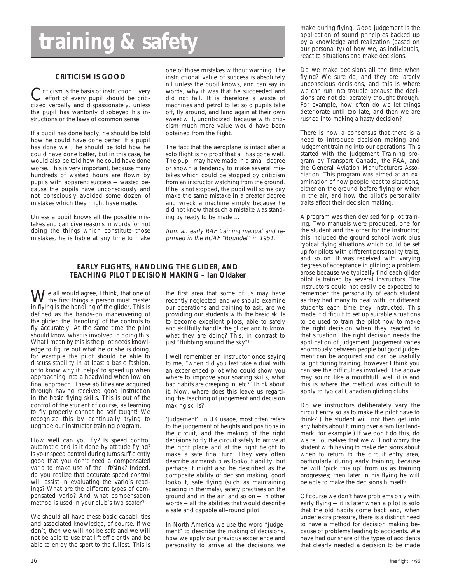## **training & safety**

#### **CRITICISM IS GOOD**

Criticism is the basis of instruction. Every<br>
effort of every pupil should be criti-<br>
effort of every pupil should be criticized verbally and dispassionately, unless the pupil has wantonly disobeyed his instructions or the laws of common sense.

If a pupil has done badly, he should be told how he could have done better. If a pupil has done well, he should be told how he could have done better, but in this case, he would also be told how he could have done worse. This is very important, because many hundreds of wasted hours are flown by pupils with apparent success — wasted because the pupils have unconsciously and not consciously avoided some dozen of mistakes which they might have made.

Unless a pupil knows all the possible mistakes and can give reasons in words for not doing the things which constitute those mistakes, he is liable at any time to make one of those mistakes without warning. The instructional value of success is absolutely nil unless the pupil knows, and can say in words, why it was that he succeeded and did not fail. It is therefore a waste of machines and petrol to let solo pupils take off, fly around, and land again at their own sweet will, uncriticized, because with criticism much more value would have been obtained from the flight.

The fact that the aeroplane is intact after a solo flight is no proof that all has gone well. The pupil may have made in a small degree or shown a tendency to make several mistakes which could be stopped by criticism from an instructor watching from the ground. If he is not stopped, the pupil will some day make the same mistake in a greater degree and wreck a machine simply because he did not know that such a mistake was standing by ready to be made ...

from an early RAF training manual and reprinted in the RCAF "Roundel" in 1951.

#### **EARLY FLIGHTS, HANDLING THE GLIDER, AND TEACHING PILOT DECISION MAKING – Ian Oldaker**

We all would agree, I think, that one of<br>the first things a person must master<br>in flying is the bondling of the glider. This is in flying is the handling of the glider. This is defined as the hands–on maneuvering of the glider, the 'handling' of the controls to fly accurately. At the same time the pilot should know what is involved in doing this. What I mean by this is the pilot needs knowledge to figure out what he or she is doing, for example the pilot should be able to discuss stability in at least a basic fashion, or to know why it 'helps' to speed up when approaching into a headwind when low on final approach. These abilities are acquired through having received good instruction in the basic flying skills. This is out of the control of the student of course, as learning to fly properly cannot be self taught! We recognize this by continually trying to upgrade our instructor training program.

How well can you fly? Is speed control automatic and is it done by attitude flying? Is your speed control during turns sufficiently good that you don't need a compensated vario to make use of the lift/sink? Indeed, do you realize that accurate speed control will assist in evaluating the vario's readings? What are the different types of compensated vario? And what compensation method is used in your club's two seater?

We should all have these basic capabilities and associated knowledge, of course. If we don't, then we will not be safe and we will not be able to use that lift efficiently and be able to enjoy the sport to the fullest. This is

the first area that some of us may have recently neglected, and we should examine our operations and training to ask, are we providing our students with the basic skills to become excellent pilots, able to safely and skillfully handle the glider and to know what they are doing? This, in contrast to just "flubbing around the sky"!

I well remember an instructor once saying to me, "when did you last take a dual with an experienced pilot who could show you where to improve your soaring skills, what bad habits are creeping in, etc?" Think about it. Now, where does this leave us regarding the teaching of judgement and decision making skills?

'Judgement', in UK usage, most often refers to the judgement of heights and positions in the circuit, and the making of the right decisions to fly the circuit safely to arrive at the right place and at the right height to make a safe final turn. They very often describe airmanship as lookout ability, but perhaps it might also be described as the composite ability of decison making, good lookout, safe flying (such as maintaining spacing in thermals), safety practises on the ground and in the air, and so on — in other words — all the abilities that would describe a safe and capable all–round pilot.

In North America we use the word "judgement" to describe the making of decisions, how we apply our previous experience and personality to arrive at the decisions we make during flying. Good judgement is the application of sound principles backed up by a knowledge and realization (based on our personality) of how we, as individuals, react to situations and make decisions.

Do we make decisions all the time when flying? We sure do, and they are largely unconscious decisions, and this is where we can run into trouble because the decisions are not deliberately thought through. For example, how often do we let things deteriorate until too late, and then we are rushed into making a hasty decision?

There is now a concensus that there is a need to introduce decision making and judgement training into our operations. This started with the Judgement Training program by Transport Canada, the FAA, and the General Aviation Manufacturers Association. This program was aimed at an examination of how people react to situations, either on the ground before flying or when in the air, and how the pilot's personality traits affect their decision making.

A program was then devised for pilot training. Two manuals were produced, one for the student and the other for the instructor; this included the ground school work plus typical flying situations which could be set up for pilots with different personality traits, and so on. It was received with varying degrees of acceptance in gliding; a problem arose because we typically find each glider pilot is trained by several instructors. The instructors could not easily be expected to remember the personality of each student as they had many to deal with, or different students each time they instructed. This made it difficult to set up suitable situations to be used to train the pilot how to make the right decision when they reacted to that situation. The right decision needs the application of judgement. Judgement varies enormously between people but good judgement can be acquired and can be usefully taught during training, however I think you can see the difficulties involved. The above may sound like a mouthfull, well it is and this is where the method was difficult to apply to typical Canadian gliding clubs.

Do we instructors deliberately vary the circuit entry so as to make the pilot have to think? (The student will not then get into any habits about turning over a familiar landmark, for example.) If we don't do this, do we tell ourselves that we will not worry the student with having to make decisions about when to return to the circuit entry area, particularly during early training, because he will 'pick this up' from us as training progresses; then later in his flying he will be able to make the decisions himself?

Of course we don't have problems only with early flying — it is later when a pilot is solo that the old habits come back and, when under extra pressure, there is a distinct need to have a method for decision making because of problems leading to accidents. We have had our share of the types of accidents that clearly needed a decision to be made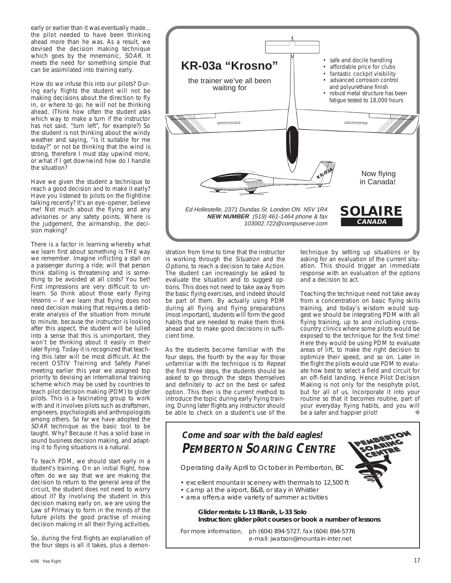early or earlier than it was eventually made... the pilot needed to have been thinking ahead more than he was. As a result, we devised the decision making technique which goes by the mnemonic, SOAR. It meets the need for something simple that can be assimilated into training early.

How do we infuse this into our pilots? During early flights the student will not be making decisions about the direction to fly in, or where to go; he will not be thinking ahead. (Think how often the student asks which way to make a turn if the instructor has not said, "turn left", for example?) So the student is not thinking about the windy weather and saying, "is it suitable for me today?" or not be thinking that the wind is strong, therefore I must stay upwind more, or what if I get downwind how do I handle the situation?

Have we given the student a technique to reach a good decision and to make it early? Have you listened to pilots on the flightline talking recently? It's an eye–opener, believe me! Not much about the flying and any advisories or any safety points. Where is the judgement, the airmanship, the decision making?

There is a factor in learning whereby what we learn first about something is THE way we remember. Imagine inflicting a stall on a passenger during a ride; will that person think stalling is threatening and is something to be avoided at all costs? You bet! First impressions are very difficult to unlearn. So think about those early flying lessons — if we learn that flying does not need decision making that requires a deliberate analysis of the situation from minute to minute, because the instructor is looking after this aspect, the student will be lulled into a sense that this is unimportant, they won't be thinking about it easily in their later flying. Today it is recognized that teaching this later will be most difficult. At the recent OSTIV Training and Safety Panel meeting earlier this year we assigned top priority to devising an international training scheme which may be used by countries to teach pilot decision making (PDM) to glider pilots. This is a fascinating group to work with and it involves pilots such as draftsmen, engineers, psychologists and anthropologists among others. So far we have adopted the SOAR technique as the basic tool to be taught. Why? Because it has a solid base in sound business decision making, and adapting it to flying situations is a natural.

To teach PDM, we should start early in a student's training. On an initial flight, how often do we say that we are making the decision to return to the general area of the circuit, the student does not need to worry about it? By involving the student in this decision making early on, we are using the Law of Primacy to form in the minds of the future pilots the good practise of mixing decision making in all their flying activities.

So, during the first flights an explanation of the four steps is all it takes, plus a demon-



stration from time to time that the instructor is working through the Situation and the Options, to reach a decision to take Action. The student can increasingly be asked to evaluate the situation and to suggest options. This does not need to take away from the basic flying exercises, and indeed should be part of them. By actually using PDM during all flying and flying preparations (most important), students will form the good habits that are needed to make them think ahead and to make good decisions in sufficient time.

As the students become familiar with the four steps, the fourth by the way for those unfamiliar with the technique is to Repeat the first three steps, the students should be asked to go through the steps themselves and definitely to *act* on the best or safest option. This then is the current method to introduce the topic during early flying training. During later flights any instructor should be able to check on a student's use of the

technique by setting up situations or by asking for an evaluation of the current situation. This should trigger an immediate response with an evaluation of the options and a decision to act.

Teaching the technique need not take away from a concentration on basic flying skills training, and today's wisdom would suggest we should be integrating PDM with all flying training, up to and including cross– country clinics where some pilots would be exposed to the technique for the first time! Here they would be using PDM to evaluate areas of lift, to make the right decision to optimize their speed, and so on. Later in the flight the pilots would use PDM to evaluate how best to select a field and circuit for an off–field landing. Hence Pilot Decision Making is not only for the neophyte pilot, but for all of us. Incorporate it into your routine so that it becomes routine, part of your everyday flying habits, and you will be a safer and happier pilot!

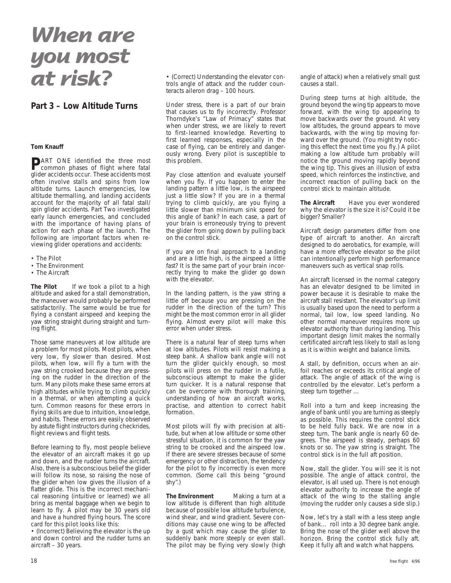### **When are you most at risk?**

#### **Part 3 – Low Altitude Turns**

#### **Tom Knauff**

**P**ART ONE identified the three most common phases of flight where fatal glider accidents occur. These accidents most often involve stalls and spins from low altitude turns. Launch emergencies, low altitude thermalling, and landing accidents account for the majority of all fatal stall/ spin glider accidents. Part Two investigated early launch emergencies, and concluded with the importance of having plans of action for each phase of the launch. The following are important factors when reviewing glider operations and accidents:

- The Pilot
- The Environment
- The Aircraft

The Pilot If we took a pilot to a high altitude and asked for a stall demonstration, the maneuver would probably be performed satisfactorily. The same would be true for flying a constant airspeed and keeping the yaw string straight during straight and turning flight.

Those same maneuvers at low altitude are a problem for most pilots. Most pilots, when very low, fly slower than desired. Most pilots, when low, will fly a turn with the yaw string crooked because they are pressing on the rudder in the direction of the turn. Many pilots make these same errors at high altitudes while trying to climb quickly in a thermal, or when attempting a quick turn. Common reasons for these errors in flying skills are due to intuition, knowledge, and habits. These errors are easily observed by astute flight instructors during checkrides, flight reviews and flight tests.

Before learning to fly, most people believe the elevator of an aircraft makes it go up and down, and the rudder turns the aircraft. Also, there is a subconscious belief the glider will follow its nose, so raising the nose of the glider when low gives the illusion of a flatter glide. This is the incorrect mechanical reasoning (intuitive or learned) we all bring as mental baggage when we begin to learn to fly. A pilot may be 30 years old and have a hundred flying hours. The score card for this pilot looks like this:

• (Incorrect) Believing the elevator is the up and down control and the rudder turns an aircraft – 30 years.

• (Correct) Understanding the elevator controls angle of attack and the rudder counteracts aileron drag – 100 hours.

Under stress, there is a part of our brain that causes us to fly incorrectly. Professor Thorndyke's "Law of Primacy" states that when under stress, we are likely to revert to first–learned knowledge. Reverting to first learned responses, especially in the case of flying, can be entirely and dangerously wrong. Every pilot is susceptible to this problem.

Pay close attention and evaluate yourself when you fly. If you happen to enter the landing pattern a little low, is the airspeed just a little slow? If you are in a thermal trying to climb quickly, are you flying a little slower than minimum sink speed for this angle of bank? In each case, a part of your brain is erroneously trying to prevent the glider from going down by pulling back on the control stick.

If you are on final approach to a landing and are a little high, is the airspeed a little fast? It is the same part of your brain incorrectly trying to make the glider go down with the elevator.

In the landing pattern, is the yaw string a little off because you are pressing on the rudder in the direction of the turn? This might be the most common error in all glider flying. Almost every pilot will make this error when under stress.

There is a natural fear of steep turns when at low altitudes. Pilots will resist making a steep bank. A shallow bank angle will not turn the glider quickly enough, so most pilots will press on the rudder in a futile, subconscious attempt to make the glider turn quicker. It is a natural response that can be overcome with thorough training, understanding of how an aircraft works, practise, and attention to correct habit formation.

Most pilots will fly with precision at altitude, but when at low altitude or some other stressful situation, it is common for the yaw string to be crooked and the airspeed low. If there are severe stresses because of some emergency or other distraction, the tendency for the pilot to fly incorrectly is even more common. (Some call this being "ground shy".)

**The Environment** Making a turn at a low altitude is different than high altitude because of possible low altitude turbulence, wind shear, and wind gradient. Severe conditions may cause one wing to be affected by a gust which may cause the glider to suddenly bank more steeply or even stall. The pilot may be flying very slowly (high

angle of attack) when a relatively small gust causes a stall.

During steep turns at high altitude, the ground beyond the wing tip appears to move forward, with the wing tip appearing to move backwards over the ground. At very low altitudes, the ground appears to move backwards, with the wing tip moving forward over the ground. (You might try noticing this effect the next time you fly.) A pilot making a low altitude turn probably will notice the ground moving rapidly beyond the wing tip. This gives an illusion of extra speed, which reinforces the instinctive, and incorrect reaction of pulling back on the control stick to maintain altitude.

**The Aircraft** Have you ever wondered why the elevator is the size it is? Could it be bigger? Smaller?

Aircraft design parameters differ from one type of aircraft to another. An aircraft designed to do aerobatics, for example, will have a more effective elevator so the pilot can intentionally perform high performance maneuvers such as vertical snap rolls.

An aircraft licensed in the normal category has an elevator designed to be limited in power because it is desirable to make the aircraft stall resistant. The elevator's up limit is usually based upon the need to perform a normal, tail low, low speed landing. No other normal maneuver requires more up elevator authority than during landing. This important design limit makes the normally certificated aircraft less likely to stall as long as it is within weight and balance limits.

A stall, by definition, occurs when an airfoil reaches or exceeds its critical angle of attack. The angle of attack of the wing is controlled by the elevator. Let's perform a steep turn together ...

Roll into a turn and keep increasing the angle of bank until you are turning as steeply as possible. This requires the control stick to be held fully back. We are now in a steep turn. The bank angle is nearly 60 degrees. The airspeed is steady, perhaps 60 knots or so. The yaw string is straight. The control stick is in the full aft position.

Now, stall the glider. You will see it is not possible. The angle of attack control, the elevator, is all used up. There is not enough elevator authority to increase the angle of attack of the wing to the stalling angle (moving the rudder only causes a side slip.)

Now, let's try a stall with a less steep angle of bank... roll into a 30 degree bank angle. Bring the nose of the glider well above the horizon. Bring the control stick fully aft. Keep it fully aft and watch what happens.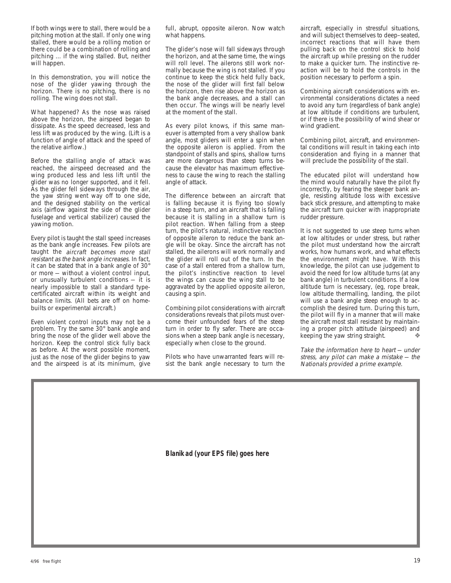If both wings were to stall, there would be a pitching motion at the stall. If only one wing stalled, there would be a rolling motion or there could be a combination of rolling and pitching ... if the wing stalled. But, neither will happen.

In this demonstration, you will notice the nose of the glider yawing through the horizon. There is no pitching, there is no rolling. The wing does not stall.

What happened? As the nose was raised above the horizon, the airspeed began to dissipate. As the speed decreased, less and less lift was produced by the wing. (Lift is a function of angle of attack and the speed of the relative airflow.)

Before the stalling angle of attack was reached, the airspeed decreased and the wing produced less and less lift until the glider was no longer supported, and it fell. As the glider fell sideways through the air, the yaw string went way off to one side, and the designed stability on the vertical axis (airflow against the side of the glider fuselage and vertical stabilizer) caused the yawing motion.

Every pilot is taught the stall speed increases as the bank angle increases. Few pilots are taught the aircraft becomes more stall resistant as the bank angle increases. In fact, it can be stated that in a bank angle of 30° or more — without a violent control input, or unusually turbulent conditions — it is nearly impossible to stall a standard typecertificated aircraft within its weight and balance limits. (All bets are off on homebuilts or experimental aircraft.)

Even violent control inputs may not be a problem. Try the same 30° bank angle and bring the nose of the glider well above the horizon. Keep the control stick fully back as before. At the worst possible moment, just as the nose of the glider begins to yaw and the airspeed is at its minimum, give full, abrupt, opposite aileron. Now watch what happens.

The glider's nose will fall sideways through the horizon, and at the same time, the wings will roll level. The ailerons still work normally because the wing is not stalled. If you continue to keep the stick held fully back, the nose of the glider will first fall below the horizon, then rise above the horizon as the bank angle decreases, and a stall can then occur. The wings will be nearly level at the moment of the stall.

As every pilot knows, if this same maneuver is attempted from a very shallow bank angle, most gliders will enter a spin when the opposite aileron is applied. From the standpoint of stalls and spins, shallow turns are more dangerous than steep turns because the elevator has maximum effectiveness to cause the wing to reach the stalling angle of attack.

The difference between an aircraft that is falling because it is flying too slowly in a steep turn, and an aircraft that is falling because it is stalling in a shallow turn is pilot reaction. When falling from a steep turn, the pilot's natural, instinctive reaction of opposite aileron to reduce the bank angle will be okay. Since the aircraft has not stalled, the ailerons will work normally and the glider will roll out of the turn. In the case of a stall entered from a shallow turn, the pilot's instinctive reaction to level the wings can cause the wing stall to be aggravated by the applied opposite aileron, causing a spin.

Combining pilot considerations with aircraft considerations reveals that pilots must overcome their unfounded fears of the steep turn in order to fly safer. There are occasions when a steep bank angle is necessary, especially when close to the ground.

Pilots who have unwarranted fears will resist the bank angle necessary to turn the aircraft, especially in stressful situations, and will subject themselves to deep–seated, incorrect reactions that will have them pulling back on the control stick to hold the aircraft up while pressing on the rudder to make a quicker turn. The instinctive reaction will be to hold the controls in the position necessary to perform a spin.

Combining aircraft considerations with environmental considerations dictates a need to avoid any turn (regardless of bank angle) at low altitude if conditions are turbulent, or if there is the possibility of wind shear or wind gradient.

Combining pilot, aircraft, and environmental conditions will result in taking each into consideration and flying in a manner that will preclude the possibility of the stall.

The educated pilot will understand how the mind would naturally have the pilot fly incorrectly, by fearing the steeper bank angle, resisting altitude loss with excessive back stick pressure, and attempting to make the aircraft turn quicker with inappropriate rudder pressure.

It is not suggested to use steep turns when at low altitudes or under stress, but rather the pilot must understand how the aircraft works, how humans work, and what effects the environment might have. With this knowledge, the pilot can use judgement to avoid the need for low altitude turns (at any bank angle) in turbulent conditions. If a low altitude turn is necessary, (eg, rope break, low altitude thermalling, landing, the pilot will use a bank angle steep enough to accomplish the desired turn. During this turn, the pilot will fly in a manner that will make the aircraft most stall resistant by maintaining a proper pitch attitude (airspeed) and keeping the yaw string straight.

Take the information here to heart — under stress, any pilot can make a mistake — the Nationals provided a prime example.

**Blanik ad (your EPS file) goes here**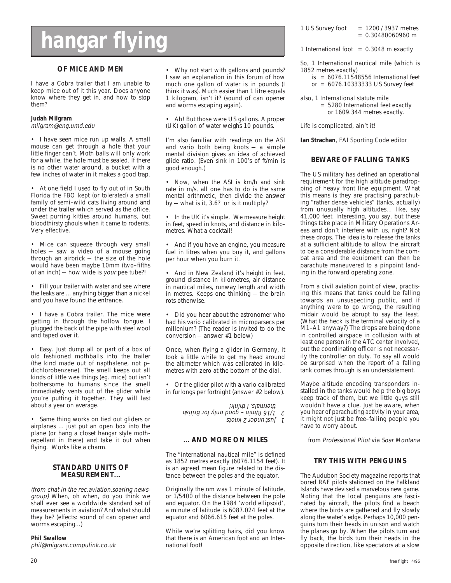## **hangar flying**

#### **OF MICE AND MEN**

I have a Cobra trailer that I am unable to keep mice out of it this year. Does anyone know where they get in, and how to stop them?

#### **Judah Milgram**

milgram@eng.umd.edu

• I have seen mice run up walls. A small mouse can get through a hole that your little finger can't. Moth balls will only work for a while, the hole must be sealed. If there is no other water around, a bucket with a few inches of water in it makes a good trap.

• At one field I used to fly out of in South Florida the FBO kept (or tolerated) a small family of semi–wild cats living around and under the trailer which served as the office. Sweet purring kitties around humans, but bloodthirsty ghouls when it came to rodents. Very effective.

• Mice can squeeze through very small holes — saw a video of a mouse going through an airbrick — the size of the hole would have been maybe 10mm (two–fifths of an inch) — how wide is your pee tube?!

• Fill your trailer with water and see where the leaks are ... anything bigger than a nickel and you have found the entrance.

• I have a Cobra trailer. The mice were getting in through the hollow tongue. I plugged the back of the pipe with steel wool and taped over it.

• Easy. Just dump all or part of a box of old fashioned mothballs into the trailer (the kind made out of napthalene, not p– dichlorobenzene). The smell keeps out all kinds of little wee things (eg. mice) but isn't bothersome to humans since the smell immediately vents out of the glider while you're putting it together. They will last about a year on average.

• Same thing works on tied out gliders or airplanes ... just put an open box into the plane (or hang a closet hangar style mothrepellant in there) and take it out when flying. Works like a charm.

#### **STANDARD UNITS OF MEASUREMENT...**

(from chat in the rec.aviation.soaring newsgroup) When, oh when, do you think we shall ever see a worldwide standard set of measurements in aviation? And what should they be? (effects: sound of can opener and worms escaping...)

#### **Phil Swallow**

phil@migrant.compulink.co.uk

• Why not start with gallons and pounds? I saw an explanation in this forum of how much one gallon of water is in pounds (I think it was). Much easier than 1 litre equals 1 kilogram, isn't it? (sound of can opener and worms escaping again).

• Ah! But those were US gallons. A proper (UK) gallon of water weighs 10 pounds.

I'm also familiar with readings on the ASI and vario both being knots  $-$  a simple mental division gives an idea of achieved glide ratio. (Even sink in 100's of ft/min is good enough.)

• Now, when the ASI is km/h and sink rate in m/s, all one has to do is the same mental arithmetic, then divide the answer by — what is it, 3.6? or is it multiply?

• In the UK it's simple. We measure height in feet, speed in knots, and distance in kilometres. What a cocktail!

• And if you have an engine, you measure fuel in litres when you buy it, and gallons per hour when you burn it.

• And in New Zealand it's height in feet, ground distance in kilometres, air distance in nautical miles, runway length and width in metres. Keeps one thinking — the brain rots otherwise.

• Did you hear about the astronomer who had his vario calibrated in microparsecs per millenium? (The reader is invited to do the conversion — answer #1 below)

Once, when flying a glider in Germany, it took a little while to get my head around the altimeter which was calibrated in kilometres with zero at the bottom of the dial.

• Or the glider pilot with a vario calibrated in furlongs per fortnight (answer #2 below).

> 1 Just under  $\zeta$  knots 2 1/16 ft/min – good only for British thermals, I think!

#### **... AND MORE ON MILES**

The "international nautical mile" is defined as 1852 metres exactly (6076.1154 feet). It is an agreed mean figure related to the distance between the poles and the equator.

Originally the nm was 1 minute of latitude, or 1/5400 of the distance between the pole and equator. On the 1984 'world ellipsoid', a minute of latitude is 6087.024 feet at the equator and 6066.615 feet at the poles.

While we're splitting hairs, did you know that there is an American foot and an International foot!

1 US Survey foot  $= 1200 / 3937$  metres  $= 0.30480060960$  m

1 International foot  $= 0.3048$  m exactly

So, 1 International nautical mile (which is 1852 metres exactly)

- $is = 6076.11548556$  International feet
- or = 6076.10333333 US Survey feet
- also, 1 International statute mile = 5280 International feet exactly or 1609.344 metres exactly.

Life is complicated, ain't it!

**Ian Strachan**, FAI Sporting Code editor

#### **BEWARE OF FALLING TANKS**

The US military has defined an operational requirement for the high altitude paradropping of heavy front line equipment. What this means is they are practising parachuting "rather dense vehicles" (tanks, actually) from unusually high altitudes... like, say 41,000 feet. Interesting, you say, but these things take place in Military Operations Areas and don't interfere with us, right? Not these drops. The idea is to release the tanks at a sufficient altitude to allow the aircraft to be a considerable distance from the combat area and the equipment can then be parachute maneuvered to a pinpoint landing in the forward operating zone.

From a civil aviation point of view, practising this means that tanks could be falling towards an unsuspecting public, and if anything were to go wrong, the resulting midair would be abrupt to say the least. (What the heck is the terminal velocity of a M1–A1 anyway?) The drops are being done in controlled airspace in collusion with at least one person in the ATC center involved, but the coordinating officer is not necessarily the controller on duty. To say all would be surprised when the report of a falling tank comes through is an understatement.

Maybe altitude encoding transponders installed in the tanks would help the big boys keep track of them, but we little guys still wouldn't have a clue. Just be aware, when you hear of parachuting activity in your area, it might not just be free–falling people you have to worry about.

from Professional Pilot via Soar Montana

#### **TRY THIS WITH PENGUINS**

The Audubon Society magazine reports that bored RAF pilots stationed on the Falkland Islands have devised a marvelous new game. Noting that the local penguins are fascinated by aircraft, the pilots find a beach where the birds are gathered and fly slowly along the water's edge. Perhaps 10,000 penguins turn their heads in unison and watch the planes go by. When the pilots turn and fly back, the birds turn their heads in the opposite direction, like spectators at a slow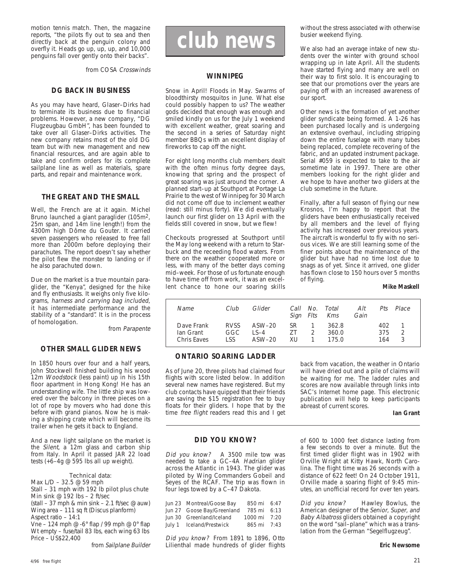motion tennis match. Then, the magazine reports, "the pilots fly out to sea and then directly back at the penguin colony and overfly it. Heads go up, up, up, and 10,000 penguins fall over gently onto their backs".

from COSA Crosswinds

#### **DG BACK IN BUSINESS**

As you may have heard, Glaser–Dirks had to terminate its business due to financial problems. However, a new company, "DG Flugzeugbau GmbH", has been founded to take over all Glaser–Dirks activities. The new company retains most of the old DG team but with new management and new financial resources, and are again able to take and confirm orders for its complete sailplane line as well as materials, spare parts, and repair and maintenance work.

#### **THE GREAT AND THE SMALL**

Well, the French are at it again. Michel Bruno launched a giant paraglider (105m2, 25m span, and 14m line length!) from the 4300m high Dôme du Gouter. It carried seven passengers who released to free fall more than 2000m before deploying their parachutes. The report doesn't say whether the pilot flew the monster to landing or if he also parachuted down.

Due on the market is a true mountain paraglider, the "Kenya", designed for the hike and fly enthusiasts. It weighs only five kilograms, harness and carrying bag included, it has intermediate performance and the stability of a "standard". It is in the process of homologation.

from Parapente

#### **OTHER SMALL GLIDER NEWS**

In 1850 hours over four and a half years, John Stockwell finished building his wood 12m Woodstock (less paint) up in his 15th floor apartment in Hong Kong! He has an understanding wife. The little ship was lowered over the balcony in three pieces on a lot of rope by movers who had done this before with grand pianos. Now he is making a shipping crate which will become its trailer when he gets it back to England.

And a new light sailplane on the market is the Silent, a 12m glass and carbon ship from Italy. In April it passed JAR 22 load tests (+6–4g @ 595 lbs all up weight).

#### Technical data:

Max L/D – 32.5 @ 59 mph

Stall – 31 mph with 192 lb pilot plus chute Min sink @ 192 lbs – 2 ft/sec

(stall  $-37$  mph & min sink  $-2.1$  ft/sec @ auw) Wing area – 111 sq ft (Discus planform)

Aspect ratio – 14:1 Vne – 124 mph @ -6 $\degree$  flap / 99 mph @ 0 $\degree$  flap

Wt empty – fuse/tail 83 lbs, each wing 63 lbs Price – US\$22,400

from Sailplane Builder

### **club news**

#### **WINNIPEG**

Snow in April! Floods in May. Swarms of bloodthirsty mosquitos in June. What else could possibly happen to us? The weather gods decided that enough was enough and smiled kindly on us for the July 1 weekend with excellent weather, great soaring and the second in a series of Saturday night member BBQs with an excellent display of fireworks to cap off the night.

For eight long months club members dealt with the often minus forty degree days, knowing that spring and the prospect of great soaring was just around the corner. A planned start–up at Southport at Portage La Prairie to the west of Winnipeg for 30 March did not come off due to inclement weather (read: still minus forty). We did eventually launch our first glider on 13 April with the fields still covered in snow, but we flew!

Checkouts progressed at Southport until the May long weekend with a return to Starbuck and the receeding flood waters. From there on the weather cooperated more or less, with many of the better days coming mid–week. For those of us fortunate enough to have time off from work, it was an excellent chance to hone our soaring skills without the stress associated with otherwise busier weekend flying.

We also had an average intake of new students over the winter with ground school wrapping up in late April. All the students have started flying and many are well on their way to first solo. It is encouraging to see that our promotions over the years are paying off with an increased awareness of our sport.

Other news is the formation of yet another glider syndicate being formed. A 1-26 has been purchased locally and is undergoing an extensive overhaul, including stripping down the entire fuselage with many tubes being replaced, complete recovering of the fabric, and an updated instrument package. Serial #059 is expected to take to the air sometime late in 1997. There are other members looking for the right glider and we hope to have another two gliders at the club sometime in the future.

Finally, after a full season of flying our new Krosnos, I'm happy to report that the gliders have been enthusiastically received by all members and the level of flying activity has increased over previous years. The aircraft is wonderful to fly with no serious vices. We are still learning some of the finer points about the maintenance of the glider but have had no time lost due to snags as of yet. Since it arrived, one glider has flown close to 150 hours over 5 months of flying.

#### **Mike Maskell**

| Name                                   | Club                       | Glider                            | Call<br>Sign Flts | No. Total<br>Kms        | Alt<br>Gain | $P$ ts            | Place  |
|----------------------------------------|----------------------------|-----------------------------------|-------------------|-------------------------|-------------|-------------------|--------|
| Dave Frank<br>Ian Grant<br>Chris Eaves | <b>RVSS</b><br>GGC<br>I SS | ASW–20<br>$\sqrt{-4}$<br>$ASW-20$ | SR.<br>7T<br>XU   | 362.8<br>360.0<br>175.0 |             | 402<br>375<br>164 | 2<br>3 |

#### **ONTARIO SOARING LADDER**

As of June 20, three pilots had claimed four flights with score listed below. In addition several new names have registered. But my club contacts have quipped that their friends are saving the \$15 registration fee to buy floats for their gliders. I hope that by the time free flight readers read this and I get back from vacation, the weather in Ontario will have dried out and a pile of claims will be waiting for me. The ladder rules and scores are now available through links into SAC's Internet home page. This electronic publication will help to keep participants abreast of current scores.

**Ian Grant**

#### **DID YOU KNOW?**

Did you know? A 3500 mile tow was needed to take a GC–4A Hadrian glider across the Atlantic in 1943. The glider was piloted by Wing Commanders Gobeil and Seyes of the RCAF. The trip was flown in four legs towed by a C–47 Dakota.

| 850 mi 6:47                                                                                                     |  |
|-----------------------------------------------------------------------------------------------------------------|--|
| 785 mi 6:13                                                                                                     |  |
| 1000 mi 7:20                                                                                                    |  |
| 865 mi 7:43                                                                                                     |  |
| Jun 23 Montreal/Goose Bay<br>Jun 27 Goose Bay/Greenland<br>Jun 30 Greenland/Iceland<br>July 1 Iceland/Prestwick |  |

Did you know? From 1891 to 1896, Otto Lilienthal made hundreds of glider flights of 600 to 1000 feet distance lasting from a few seconds to over a minute. But the first timed glider flight was in 1902 with Orville Wright at Kitty Hawk, North Carolina. The flight time was 26 seconds with a distance of 622 feet! On 24 October 1911, Orville made a soaring flight of 9:45 minutes, an unofficial record for over ten years.

Did you know? Hawley Bowlus, the American designer of the Senior, Super, and Baby Albatross gliders obtained a copyright on the word "sail–plane" which was a translation from the German "Segelflugzeug".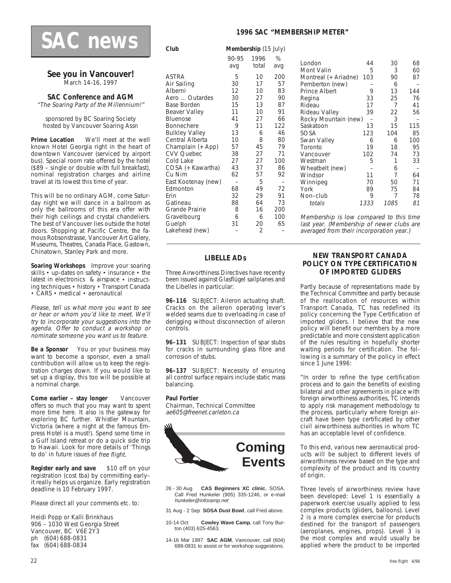### **SAC news**

#### **See you in Vancouver!** March 14-16, 1997

#### **SAC Conference and AGM**

"The Soaring Party of the Millennium!"

sponsored by BC Soaring Society hosted by Vancouver Soaring Assn

**Prime Location** We'll meet at the well known Hotel Georgia right in the heart of downtown Vancouver (serviced by airport bus). Special room rate offered by the hotel (\$89 – single or double with full breakfast), nominal registration charges and airline travel at its lowest this time of year.

This will be no ordinary AGM, come Saturday night we will dance in a ballroom as only the ballrooms of this era offer with their high ceilings and crystal chandeliers. The best of Vancouver lies outside the hotel doors. Shopping at Pacific Centre, the famous Robsonstrasse, Vancouver Art Gallery, Museums, Theatres, Canada Place, Gastown, Chinatown, Stanley Park and more.

**Soaring Workshops** Improve your soaring skills • up-dates on safety • insurance • the latest in electronics & airspace • instructing techniques • history • Transport Canada • CARS • medical • aeronautical

Please, tell us what more you want to see or hear or whom you'd like to meet. We'll try to incorporate your suggestions into the agenda. Offer to conduct a workshop or nominate someone you want us to feature.

**Be a Sponsor** You or your business may want to become a sponsor, even a small contribution will allow us to keep the registration charges down. If you would like to set up a display, this too will be possible at a nominal charge.

**Come earlier – stay longer** Vancouver offers so much that you may want to spent more time here. It also is the gateway for exploring BC further. Whistler Mountain, Victoria (where a night at the famous Empress Hotel is a must!). Spend some time in a Gulf Island retreat or do a quick side trip to Hawaii. Look for more details of 'Things to do' in future issues of free flight.

**Register early and save** \$10 off on your registration (cost tba) by committing early– it really helps us organize. Early registration deadline is 10 February 1997.

Please direct all your comments etc. to:

Heidi Popp or Kalli Brinkhaus 906 – 1030 West Georgia Street Vancouver, BC V6E 2Y3 ph (604) 688-0831 fax (604) 688-0834

#### **1996 SAC "MEMBERSHIP METER"**

**Club Membership** (15 July)

|                                                                                                                                                                                                                                                                                                                                                 | 90-95<br>avg                                                                                                           | 1996<br>total                                                                                                                | %<br>avq                                                                                                                        |
|-------------------------------------------------------------------------------------------------------------------------------------------------------------------------------------------------------------------------------------------------------------------------------------------------------------------------------------------------|------------------------------------------------------------------------------------------------------------------------|------------------------------------------------------------------------------------------------------------------------------|---------------------------------------------------------------------------------------------------------------------------------|
| ASTRA<br>Air Sailing<br>Alberni<br>Aero  Outardes<br>Base Borden<br>Beaver Valley<br>Bluenose<br>Bonnechere<br><b>Bulkley Valley</b><br>Central Alberta<br>Champlain (+ App)<br><b>CVV Quebec</b><br>Cold Lake<br>COSA (+ Kawartha)<br>Cu Nim<br>East Kootenay (new)<br>Edmonton<br>Erin<br>Gatineau<br>Grande Prairie<br>Gravelbourg<br>Guelph | 5<br>30<br>12<br>30<br>15<br>11<br>41<br>9<br>13<br>10<br>57<br>38<br>27<br>43<br>62<br>68<br>32<br>88<br>8<br>6<br>31 | 10<br>17<br>10<br>27<br>13<br>10<br>27<br>11<br>6<br>8<br>45<br>27<br>27<br>37<br>57<br>5<br>49<br>29<br>64<br>16<br>6<br>20 | 200<br>57<br>83<br>90<br>87<br>91<br>66<br>122<br>46<br>80<br>79<br>71<br>100<br>86<br>92<br>72<br>91<br>73<br>200<br>100<br>65 |
| Lakehead (new)                                                                                                                                                                                                                                                                                                                                  |                                                                                                                        | 2                                                                                                                            |                                                                                                                                 |

| London               | 44   | 30   | 68  |
|----------------------|------|------|-----|
| Mont Valin           | 5    | 3    | 60  |
| Montreal (+ Ariadne) | 103  | 90   | 87  |
| Pemberton (new)      |      | 6    |     |
| Prince Albert        | 9    | 13   | 144 |
| Regina               | 33   | 25   | 76  |
| Rideau               | 17   | 7    | 41  |
|                      |      |      |     |
| Rideau Valley        | 39   | 22   | 56  |
| Rocky Mountain (new) |      | 3    |     |
| Saskatoon            | 13   | 15   | 115 |
| sosa                 | 123  | 104  | 85  |
| Swan Valley          | 6    | 6    | 100 |
| Toronto              | 19   | 18   | 95  |
| Vancouver            | 102  | 74   | 73  |
| Westman              | 5    | 1    | 33  |
| Wheatbelt (new)      |      | 6    |     |
| Windsor              | 11   | 7    | 64  |
| Winnipeg             | 70   | 50   | 71  |
| York                 | 89   | 75   | 84  |
| Non-club             | 9    | 7    | 78  |
|                      |      |      |     |
| totals               | 1333 | 1085 | 81  |
|                      |      |      |     |

Membership is low compared to this time last year. (Membership of newer clubs are averaged from their incorporation year.)

#### **LIBELLE ADs**

Three Airworthiness Directives have recently been issued against Glasflügel sailplanes and the Libelles in particular:

**96–116** SUBJECT: Aileron actuating shaft. Cracks on the aileron operating lever's welded seams due to overloading in case of derigging without disconnection of aileron controls.

**96–131** SUBJECT: Inspection of spar stubs for cracks in surrounding glass fibre and corrosion of stubs.

**96–137** SUBJECT: Necessity of ensuring all control surface repairs include static mass balancing.

#### **Paul Fortier**

Chairman, Technical Committee ae605@freenet.carleton.ca



- 26 30 Aug **CAS Beginners XC clinic**, SOSA. Call Fred Hunkeler (905) 335-1246, or e-mail hunkeler@inforamp.net
- 31 Aug 2 Sep **SOSA Dust Bowl**, call Fred above.
- 10-14 Oct **Cowley Wave Camp**, call Tony Burton (403) 625-4563.
- 14-16 Mar 1997 **SAC AGM**, Vancouver, call (604) 688-0831 to assist or for workshop suggestions.

#### **NEW TRANSPORT CANADA POLICY ON TYPE CERTIFICATION OF IMPORTED GLIDERS**

Partly because of representations made by the Technical Committee and partly because of the reallocation of resources within Transport Canada, TC has redefined its policy concerning the Type Certification of imported gliders. I believe that the new policy will benefit our members by a more predictable and more consistent application of the rules resulting in hopefully shorter waiting periods for certification. The following is a summary of the policy in effect since 1 June 1996:

"In order to refine the type certification process and to gain the benefits of existing bilateral and other agreements in place with foreign airworthiness authorities, TC intends to apply risk management methodology to the process, particularly where foreign aircraft have been type certificated by other civil airworthiness authorities in whom TC has an acceptable level of confidence.

To this end, various new aeronautical products will be subject to different levels of airworthiness review based on the type and complexity of the product and its country of origin.

Three levels of airworthiness review have been developed: Level 1 is essentially a paperwork exercise usually applied to less complex products (gliders, balloons). Level 2 is a more complex exercise for products destined for the transport of passengers (aeroplanes, engines, props). Level 3 is the most complex and would usually be applied where the product to be imported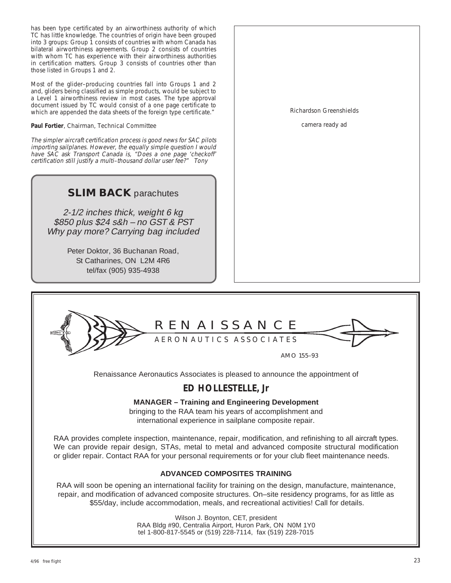has been type certificated by an airworthiness authority of which TC has little knowledge. The countries of origin have been grouped into 3 groups: Group 1 consists of countries with whom Canada has bilateral airworthiness agreements. Group 2 consists of countries with whom TC has experience with their airworthiness authorities in certification matters. Group 3 consists of countries other than those listed in Groups 1 and 2.

Most of the glider–producing countries fall into Groups 1 and 2 and, gliders being classified as simple products, would be subject to a Level 1 airworthiness review in most cases. The type approval document issued by TC would consist of a one page certificate to which are appended the data sheets of the foreign type certificate."

**Paul Fortier**, Chairman, Technical Committee

The simpler aircraft certification process is good news for SAC pilots importing sailplanes. However, the equally simple question I would have SAC ask Transport Canada is, "Does a one page 'checkoff' certification still justify a multi–thousand dollar user fee?" Tony

### **SLIM BACK** parachutes

2-1/2 inches thick, weight 6 kg \$850 plus \$24 s&h – no GST & PST Why pay more? Carrying bag included

> Peter Doktor, 36 Buchanan Road, St Catharines, ON L2M 4R6 tel/fax (905) 935-4938

Richardson Greenshields

camera ready ad

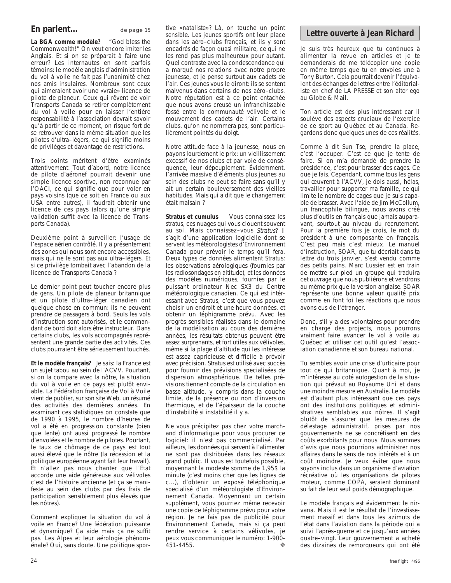#### **En parlent...** de page 15

**La BGA comme modèle?** "God bless the Commonwealth!" On veut encore imiter les Anglais. Et si on se préparait à faire une erreur? Les internautes en sont parfois témoins: le modèle anglais d'administration du vol à voile ne fait pas l'unanimité chez nos amis insulaires. Nombreux sont ceux qui aimeraient avoir une «vraie» licence de pilote de planeur. Ceux qui rêvent de voir Transports Canada se retirer complètement du vol à voile pour en laisser l'entière responsabilité à l'association devrait savoir qu'à partir de ce moment, on risque fort de se retrouver dans la même situation que les pilotes d'ultra–légers, ce qui signifie moins de privilèges et davantage de restrictions.

Trois points méritent d'être examinés attentivement. Tout d'abord, notre licence de pilote d'aéronef pourrait devenir une simple licence sportive, non reconnue par l'OACI, ce qui signifie que pour voler en pays voisins (que ce soit en France ou aux USA entre autres), il faudrait obtenir une licence de ces pays (alors qu'une simple validation suffit avec la licence de Transports Canada).

Deuxième point à surveiller: I'usage de l'espace aérien contrôlé. Il y a présentement des zones qui nous sont encore accessibles, mais qui ne le sont pas aux ultra–légers. Et si ce privilège tombait avec l'abandon de la licence de Transports Canada ?

Le dernier point peut toucher encore plus de gens. Un pilote de planeur britannique et un pilote d'ultra–léger canadien ont quelque chose en commun: ils ne peuvent prendre de passagers à bord. Seuls les vols d'instruction sont autorisés, et le commandant de bord doit alors être instructeur. Dans certains clubs, les vols accompagnés représentent une grande partie des activités. Ces clubs pourraient être sérieusement touchés.

**Et le modèle français?** Je sais: la France est un sujet tabou au sein de l'ACVV. Pourtant, si on la compare avec la nôtre, la situation du vol à voile en ce pays est plutôt enviable. La Fédération française de Vol à Voile vient de publier, sur son site Web, un résumé des activités des dernières années. En examinant ces statistiques on constate que de 1990 à 1995, le nombre d'heures de vol a été en progression constante (bien que lente) ont aussi progressé le nombre d'envolées et le nombre de pilotes. Pourtant, le taux de chômage de ce pays est tout aussi élevé que le nôtre (la récession et la politique européenne ayant fait leur travail). Et n'allez pas nous chanter que l'État accorde une aide généreuse aux vélivoles c'est de l'histoire ancienne (et ça se manifeste au sein des clubs par des frais de participation sensiblement plus élevés que les nôtres).

Comment expliquer la situation du vol à voile en France? Une fédération puissante et dynamique? Ça aide mais ça ne suffit pas. Les Alpes et leur aérologie phénoménale? Oui, sans doute. Une politique sportive «nataliste»? Là, on touche un point sensible. Les jeunes sportifs ont leur place dans les aéro–clubs français, et ils y sont encadrés de façon quasi militaire, ce qui ne les rend pas plus malheureux pour autant. Quel contraste avec la condescendance qui a marqué nos relations avec notre propre jeunesse, et je pense surtout aux cadets de l'air. Ces jeunes vous le diront: ils se sentent malvenus dans certains de nos aéro–clubs. Notre réputation est à ce point entachée que nous avons creusé un infranchissable fossé entre la communauté vélivole et le mouvement des cadets de l'air. Certains clubs, qu'on ne nommera pas, sont particulièrement pointés du doigt.

Notre attitude face à la jeunesse, nous en payons lourdement le prix: un vieillissement excessif de nos clubs et par voie de conséquence, leur dépeuplement. Évidemment, I'arrivée massive d'éléments plus jeunes au sein des clubs ne peut se faire sans qu'il y ait un certain bouleversement des vieilles habitudes. Mais qui a dit que le changement était malsain ?

**Stratus et cumulus** Vous connaissez les stratus, ces nuages qui vous clouent souvent au sol. Mais connaissez–vous Stratus? Il s'agit d'une application logicielle dont se servent les météorologistes d'Environnement Canada pour prévoir le temps qu'il fera. Deux types de données alimentent Stratus: les observations aérologiques (fournies par les radiosondages en altitude), et les données des modèles numériques, fournies par le puissant ordinateur Nec SX3 du Centre météorologique canadien. Ce qui est intéressant avec Stratus, c'est que vous pouvez choisir un endroit et une heure données, et obtenir un téphigramme prévu. Avec les progrès sensibles réalisés dans le domaine de la modélisation au cours des dernières années, les résultats obtenus peuvent être assez surprenants, et fort utiles aux vélivoles, même si la plage d'altitude qui les intéresse est assez capricieuse et difficile à prévoir avec précision. Stratus est utilisé avec succès pour fournir des prévisions specialisées de dispersion atmosphérique. De telles prévisions tiennent compte de la circulation en basse altitude, y compris dans la couche limite, de la présence ou non d'inversion thermique, et de l'épaisseur de la couche d'instabilité si instabilité il y a.

Ne vous précipitez pas chez votre marchand d'informatique pour vous procurer ce logiciel: il n'est pas commercialisé. Par ailleurs, les données qui servent à l'alimenter ne sont pas distribuées dans les réseaux grand public. Il vous est toutefois possible, moyennant la modeste somme de 1,95\$ la minute (c'est moins cher que les lignes de c...), d'obtenir un exposé téléphonique specialisé d'un météorologiste d'Environnement Canada. Moyennant un certain supplément, vous pourriez même recevoir une copie de téphigramme prévu pour votre région. Je ne fais pas de publicité pour Environnement Canada, mais si ça peut rendre service à certains vélivoles, je peux vous communiquer le numéro: 1-900- 451-4455. ❖

#### **Lettre ouverte à Jean Richard**

Je suis très heureux que tu continues à alimenter la revue en articles et je te demanderais de me télécopier une copie en même temps que tu en envoies une à Tony Burton. Cela pourrait devenir l'équivalent des échanges de lettres entre l'éditorialiste en chef de LA PRESSE et son alter ego au Globe & Mail.

Ton article est des plus intéressant car il soulève des aspects cruciaux de l'exercice de ce sport au Québec et au Canada. Regardons donc quelques unes de ces réalités.

Comme à dit Sun Tse, prendre la place, c'est l'occuper. C'est ce que je tente de faire. Si on m'a demandé de prendre la présidence, c'est pour brasser des cages. Ce que je fais. Cependant, comme tous les gens qui œuvrent à l'ACVV, je dois aussi, hélas, travailler pour supporter ma famille, ce qui limite le nombre de cages que je suis capable de brasser. Avec l'aide de Jim McCollum, un francophile bilingue, nous avons créé plus d'outils en français que jamais auparavant, sourtout au niveau du recrutement. Pour la première fois je crois, le mot du président à une composante en français. C'est peu mais c'est mieux. Le manuel d'instruction, SOAR, que tu décriait dans ta lettre du trois janvier, s'est vendu comme des petits pains. Marc Lussier est en train de mettre sur pied un groupe qui traduira cet ouvrage que nous publiérons et vendrons au même prix que la version anglaise. SOAR représente une bonne valeur qualité prix comme en font foi les réactions que nous avons eus de l'étranger.

Donc, s'il y a des volontaires pour prendre en charge des projects, nous pourrons vraiment faire avancer le vol à voile au Québec et utiliser cet outil qu'est l'association canadienne et son bureau national.

Tu sembles avoir une crise d'urticaire pour tout ce qui britannique. Quant à moi, je m'intéresse au coté autogestion de la situation qui prévaut au Royaume Uni et dans une moindre mesure en Australie. Le modèle est d'autant plus intéressant que ces pays ont des institutions politiques et administratives semblables aux nôtres. Il s'agit plutôt de s'assurer que les mesures de délestage administratif, prises par nos gouvernements ne se concrétisent en des coûts exorbitants pour nous. Nous sommes d'avis que nous pourrions administrer nos affaires dans le sens de nos intérêts et à un coût moindre. Je veux éviter que nous soyons inclus dans un organisme d'aviation récréative où les organisations de pilotes moteur, comme COPA, seraient dominant su fait de leur seul poids démographique.

Le modèle français est évidemment le nirvana. Mais il est le résultat de l'investissement massif et dans tous les azimuts de l'état dans l'aviation dans la période qui a suivi l'après–guerre et ce jusqu'aux années quatre–vingt. Leur gouvernement a acheté des dizaines de remorqueurs qui ont été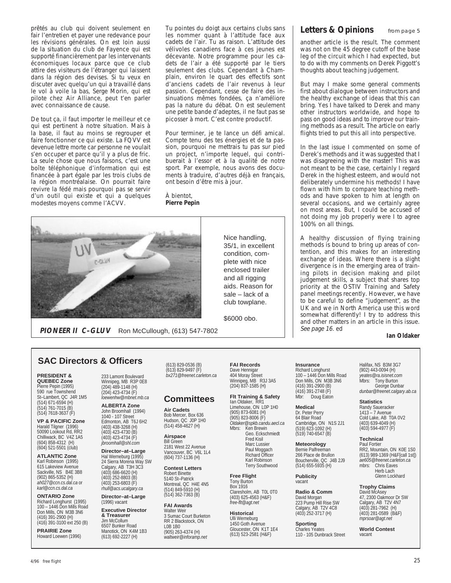prêtés au club qui doivent seulement en fair l'entretien et payer une redevance pour les révisions générales. On est loin aussi de la situation du club de Fayence qui est supporté financièrement par les intervenants économiques locaux parce que ce club attire des visiteurs de l'étranger qui laissent dans la région des devises. Si tu veux en discuter avec quelqu'un qui a travaillé dans le vol à voile la bas, Serge Morin, qui est pilote chez Air Alliance, peut t'en parler avec connaissance de cause.

De tout ça, il faut importer le meilleur et ce qui est pertinent à notre situation. Mais à la base, il faut au moins se regrouper et faire fonctionner ce qui existe. La FQVV est devenue lettre morte car personne ne voulait s'en occuper et parce qu'il y a plus de fric. La seule chose que nous faisons, c'est une boîte téléphonique d'information qui est financée à part égale par les trois clubs de la région montréalaise. On pourrait faire revivre la fédé mais pourquoi pas se servir d'un outil qui existe et qui a quelques modestes moyens comme l'ACVV.

Tu pointes du doigt aux certains clubs sans les nommer quant à l'attitude face aux cadets de l'air. Tu as raison. L'attitude des vélivoles canadiens face à ces jeunes est décevante. Notre programme pour les cadets de l'air a été supporté par le tiers seulement des clubs. Cependant à Champlain, environ le quart des effectifs sont d'anciens cadets de l'air revenus à leur passion. Cependant, cesse de faire des insinuations mêmes fondées, ça n'améliore pas la nature du débat. On est seulement une petite bande d'adeptes, il ne faut pas se picosser à mort. C'est contre productif.

Pour terminer, je te lance un défi amical. Compte tenu des tes énergies et de ta passion, pourquoi ne mettrais tu pas sur pied un project, n'importe lequel, qui contribuerait à l'essor et à la qualité de notre sport. Par exemple, nous avons des documents à traduire, d'autres déjà en français, ont besoin d'être mis à jour.

À bientot, **Pierre Pepin**



**PIONEER II C–GLUV** Ron McCullough, (613) 547-7802

Nice handling, 35/1, in excellent condition, complete with nice enclosed trailer

and all rigging aids. Reason for sale – lack of a club towplane.

\$6000 obo.

**Insurance** Richard Longhurst 100 – 1446 Don Mills Road Don Mills, ON M3B 3N6 (416) 391-2900 (B) (416) 391-2748 (F) Mbr: Doug Eaton

**Medical** Dr. Peter Perry 64 Blair Road Cambridge, ON N1S 2J1 (519) 623-1092 (H) (519) 740-6547 (B)

**Meteorology** Bernie Palfreeman 266 Place de Brullon Boucherville, QC J4B 2J9 (514) 655-5935 (H)

#### **Publicity** vacant

**Radio & Comm** David Morgan 223 Pump Hill Rise SW Calgary, AB T2V 4C8 (403) 252-3717 (H)

**Sporting** Charles Yeates 110 - 105 Dunbrack Street

#### Letters & Opinions from page 5

another article is the result. The comment was not on the 45 degree cutoff of the base leg of the circuit which I had expected, but to do with my comments on Derek Piggott's thoughts about teaching judgement.

But may I make some general comments first about dialogue between instructors and the healthy exchange of ideas that this can bring. Yes I have talked to Derek and many other instructors worldwide, and hope to pass on good ideas and to improve our training methods as a result. The article on early flights tried to put this all into perspective.

In the last issue I commented on some of Derek's methods and it was suggested that I was disagreeing with the master! This was not meant to be the case, certainly I regard Derek in the highest esteem, and would not deliberately undermine his methods! I have flown with him to compare teaching methods and have spoken to him at length on several occasions, and we certainly agree on most areas. But, I could be accused of not doing my job properly were I to agree 100% on all things.

A healthy discussion of flying training methods is bound to bring up areas of contention, and this makes for an interesting exchange of ideas. Where there is a slight divergence is in the emerging area of training pilots in decision making and pilot judgement skills, a subject that shares top priority at the OSTIV Training and Safety panel meetings recently. However, we have to be careful to define "judgement", as the UK and we in North America use this word somewhat differently! I try to address this and other matters in an article in this issue. See page 16. ed

#### **Ian Oldaker**

### **SAC Directors & Officers**

#### **PRESIDENT & QUEBEC Zone**

Pierre Pepin (1995) 590 rue Townshend St–Lambert, QC J4R 1M5 (514) 671-6594 (H) (514) 761-7015 (B) (514) 7618-3637 (F)

**VP & PACIFIC Zone** Harald Tilgner (1996) 50090 Lookout Rd, RR2 Chilliwack, BC V4Z 1A5 (604) 858-4312 (H) (604) 521-5501 (club)

**ATLANTIC Zone** Karl Robinson (1995) 615 Lakeview Avenue Sackville, NS B4E 3B8 (902) 865-5352 (H) *ah027@ccn.cs.dal.ca* or *karl@ccn.cs.dal.ca*

**ONTARIO Zone** Richard Longhurst (1995) 100 – 1446 Don Mills Road Don Mills, ON M3B 3N6 (416) 391-2900 (H) (416) 391-3100 ext 250 (B)

**PRAIRIE Zone** Howard Loewen (1996) 233 Lamont Boulevard Winnipeg, MB R3P 0E8 (204) 489-1148 (H) (204) 423-4734 (F) *loewenhw@mbnet.mb.ca*

**ALBERTA Zone** John Broomhall (1994) 1040 - 107 Street Edmonton, AB T6J 6H2 (403) 438-3268 (H) (403) 423-4730 (B)  $(403)$  423-4734 (F) *jbroomhall@shl.com*

**Director–at–Large** Hal Werneburg (1995) 24 Sierra Morena Way SW Calgary, AB T3H 3C3 (403) 686-6620 (H) (403) 252-8803 (B) (403) 253-6803 (F) *rhull@acs.ucalgary.ca*

**Director–at–Large** (1996) vacant

**Executive Director & Treasurer** Jim McCollum 6507 Bunker Road Manotick, ON K4M 1B3 (613) 692-2227 (H)

(613) 829-0536 (B) (613) 829-9497 (F) *bx271@freenet.carleton.ca*

#### **Committees**

**Air Cadets** Bob Mercer, Box 636 Hudson, QC J0P 1H0 (514) 458-4627 (H)

**Airspace** Bill Green 2181 West 22 Avenue Vancouver, BC V6L 1L4 (604) 737-1136 (H)

**Contest Letters** Robert Binette 5140 St–Patrick Montreal, QC H4E 4N5 (514) 849-5910 (H) (514) 362-7363 (B)

#### **FAI Awards** Walter Weir 3 Sumac Court Burketon RR 2 Blackstock, ON L0B 1B0 (905) 263-4374 (H) *waltweir@inforamp.net*

**FAI Records** Dave Hennigar 404 Moray Street Winnipeg, MB R3J 3A5 (204) 837-1585 (H)

**Flt Training & Safety** Ian Oldaker, RR1

Limehouse, ON L0P 1H0 (905) 873-6081 (H) (905) 823-8006 (F) *Oldaker@spkb.candu.aecl.ca* Ken Brewin Geo. Eckschmiedt Fred Kisil Marc Lussier Paul Moggach Richard Officer Karl Robinson Terry Southwood

Box 1916

*free-flt@agt.net*

**Free Flight** Tony Burton Claresholm, AB T0L 0T0 (403) 625-4563 (H&F)

**Historical** Ulli Werneburg 1450 Goth Avenue Gloucester, ON K1T 1E4 (613) 523-2581 (H&F)

Halifax, NS B3M 3G7 (902) 443-0094 (H) *yeates@ra.isisnet.com* Tony Burton George Dunbar *dunbar@freenet.calgary.ab.ca*

**Statistics**

Randy Saueracker 1413 – 7 Avenue Cold Lake, AB T0A 0V2 (403) 639-4049 (H) (403) 594-4977 (F)

#### **Technical** Paul Fortier

RR2, Mountain, ON K0E 1S0 (613) 989-1369 (H&F[call 1st]) *ae605@freenet.carleton.ca* Chris Eaves Herb Lach Glenn Lockhard

**Trophy Claims** David McAsey

47, 2300 Oakmoor Dr SW Calgary, AB T2V 4N7 (403) 281-7962 (H) (403) 281-0589 (B&F) *mprsoar@agt.net*

**World Contest** vacant

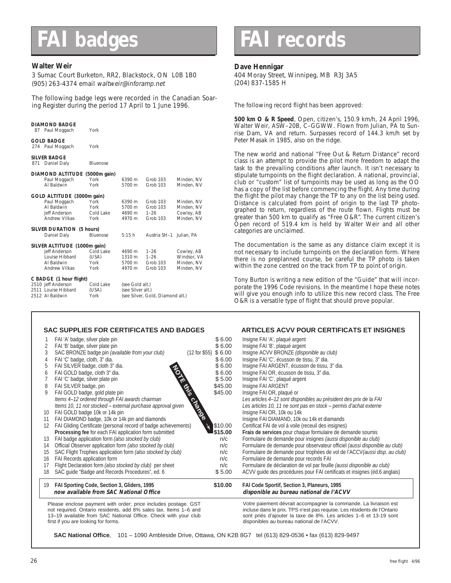#### **Walter Weir**

3 Sumac Court Burketon, RR2, Blackstock, ON L0B 1B0 (905) 263-4374 email waltweir@inforamp.net

The following badge legs were recorded in the Canadian Soaring Register during the period 17 April to 1 June 1996.

| DIAMOND BADGE<br>87 Paul Moggach                                                               | York                               |                                      |                                              |                                                       |
|------------------------------------------------------------------------------------------------|------------------------------------|--------------------------------------|----------------------------------------------|-------------------------------------------------------|
| <b>GOLD BADGE</b><br>274 Paul Moggach                                                          | York                               |                                      |                                              |                                                       |
| <b>SILVER BADGE</b><br>871<br>Daniel Daly                                                      | <b>Bluenose</b>                    |                                      |                                              |                                                       |
| <b>DIAMOND ALTITUDE</b><br>Paul Moggach<br>Al Baldwin                                          | (5000m gain)<br>York<br>York       | 6390 m<br>5700 m                     | Grob 103<br>Grob 103                         | Minden, NV<br>Minden, NV                              |
| GOLD ALTITUDE (3000m gain)<br>Paul Moggach<br>Al Baldwin<br>Jeff Anderson<br>Andrew Vilkas     | York<br>York<br>Cold Lake<br>York  | 6390 m<br>5700 m<br>4690 m<br>4970 m | Grob 103<br>Grob 103<br>$1 - 26$<br>Grob 103 | Minden, NV<br>Minden, NV<br>Cowley, AB<br>Minden, NV  |
| SILVER DURATION (5 hours)<br>Daniel Dalv                                                       | <b>Bluenose</b>                    | 5:15h                                | Austria SH-1 Julian, PA                      |                                                       |
| SILVER ALTITUDE (1000m gain)<br>Jeff Anderson<br>Louise Hibbard<br>Al Baldwin<br>Andrew Vilkas | Cold Lake<br>(USA)<br>York<br>York | 4690 m<br>1310 m<br>5700 m<br>4970 m | $1 - 26$<br>$1 - 26$<br>Grob 103<br>Grob 103 | Cowley, AB<br>Windsor, VA<br>Minden, NV<br>Minden, NV |
| C BADGE (1 hour flight)<br>2510 Jeff Anderson<br>2511 Louise Hibbard<br>2512 Al Baldwin        | Cold Lake<br>(USA)<br>York         | (see Gold alt.)<br>(see Silver alt.) | (see Silver, Gold, Diamond alt.)             |                                                       |

### **FAI badges FAI records**

#### **Dave Hennigar**

404 Moray Street, Winnipeg, MB R3J 3A5 (204) 837-1585 H

The following record flight has been approved:

**500 km O & R Speed**, Open, citizen's, 150.9 km/h, 24 April 1996, Walter Weir, ASW–20B, C–GGWW. Flown from Julian, PA to Sunrise Dam, VA and return. Surpasses record of 144.3 km/h set by Peter Masak in 1985, also on the ridge.

The new world and national "Free Out & Return Distance" record class is an attempt to provide the pilot more freedom to adapt the task to the prevailing conditions after launch. It isn't necessary to stipulate turnpoints on the flight declaration. A national, provincial, club or "custom" list of turnpoints may be used as long as the OO has a copy of the list before commencing the flight. Any time during the flight the pilot may change the TP to any on the list being used. Distance is calculated from point of origin to the last TP photographed to return, regardless of the route flown. Flights must be greater than 500 km to qualify as "Free O&R". The current citizen's Open record of 519.4 km is held by Walter Weir and all other categories are unclaimed.

The documentation is the same as any distance claim except it is not necessary to include turnpoints on the declaration form. Where there is no preplanned course, be careful the TP photo is taken within the zone centred on the track from TP to point of origin.

Tony Burton is writing a new edition of the "Guide" that will incorporate the 1996 Code revisions. In the meantime I hope these notes will give you enough info to utilize this new record class. The Free O&R is a versatile type of flight that should prove popular.

#### **SAC SUPPLIES FOR CERTIFICATES AND BADGES ARTICLES ACVV POUR CERTIFICATS ET INSIGNES**

|    | FAI 'A' badge, silver plate pin                                                                                                    |                         | \$6.00  | Insigne FAI 'A', plaqué argent                                                                                                              |
|----|------------------------------------------------------------------------------------------------------------------------------------|-------------------------|---------|---------------------------------------------------------------------------------------------------------------------------------------------|
|    | FAI 'B' badge, silver plate pin                                                                                                    |                         | \$6.00  | Insigne FAI 'B', plaqué argent                                                                                                              |
| 3  | SAC BRONZE badge pin (available from your club)                                                                                    | $(12$ for \$55) \$ 6.00 |         | Insigne ACVV BRONZE (disponible au club)                                                                                                    |
| 4  | FAI 'C' badge, cloth, 3" dia.                                                                                                      |                         | \$6.00  | Insigne FAI 'C', écusson de tissu, 3" dia.                                                                                                  |
|    | FAI SILVER badge, cloth 3" dia.                                                                                                    |                         | \$6.00  | Insigne FAI ARGENT, écusson de tissu, 3" dia.                                                                                               |
| 6  | FAI GOLD badge, cloth 3" dia.                                                                                                      |                         | \$6.00  | Insigne FAI OR, écusson de tissu, 3" dia.                                                                                                   |
|    | FAI 'C' badge, silver plate pin                                                                                                    |                         | \$5.00  | Insigne FAI 'C', plaqué argent                                                                                                              |
| 8  | FAI SILVER badge, pin                                                                                                              |                         | \$45.00 | Insigne FAI ARGENT                                                                                                                          |
| 9  | FAI GOLD badge, gold plate pin                                                                                                     |                         | \$45.00 | Insigne FAI OR, plaqué or                                                                                                                   |
|    | Items 4-12 ordered through FAI awards chairman                                                                                     |                         |         | Les articles 4-12 sont disponibles au président des prix de la FAI                                                                          |
|    | Items 10, 11 not stocked - external purchase approval given                                                                        |                         |         | Les articles 10, 11 ne sont pas en stock - permis d'achat externe                                                                           |
| 10 | FAI GOLD badge 10k or 14k pin                                                                                                      | change                  |         | Insigne FAI OR, 10k ou 14k                                                                                                                  |
| 11 | FAI DIAMOND badge, 10k or 14k pin and diamonds                                                                                     |                         |         | Insigne FAI DIAMAND, 10k ou 14k et diamands                                                                                                 |
| 12 | FAI Gliding Certificate (personal record of badge achievements)                                                                    |                         | \$10.00 | Certificat FAI de vol à voile (receuil des insignes)                                                                                        |
|    | Processing fee for each FAI application form submitted                                                                             |                         | \$15.00 | Frais de services pour chaque formulaire de demande soumis                                                                                  |
| 13 | FAI badge application form (also stocked by club)                                                                                  |                         | n/c     | Formulaire de demande pour insignes (aussi disponible au club)                                                                              |
| 14 | Official Observer application form (also stocked by club)                                                                          |                         | n/c     | Formulaire de demande pour observateur officiel (aussi disponible au club)                                                                  |
| 15 | SAC Flight Trophies application form (also stocked by club)                                                                        |                         | n/c     | Formulaire de demande pour trophées de vol de l'ACCV (aussi disp. au club)                                                                  |
| 16 | FAI Records application form                                                                                                       |                         | n/c     | Formulaire de demande pour records FAI                                                                                                      |
| 17 | Flight Declaration form (also stocked by club) per sheet                                                                           |                         | n/c     | Formulaire de déclaration de vol par feuille (aussi disponible au club)                                                                     |
| 18 | SAC quide "Badge and Records Procedures", ed. 6                                                                                    |                         | \$5.00  | ACVV quide des procédures pour FAI certificats et insignes (éd.6 anglais)                                                                   |
| 19 | FAI Sporting Code, Section 3, Gliders, 1995                                                                                        |                         | \$10.00 | FAI Code Sportif, Section 3, Planeurs, 1995                                                                                                 |
|    | now available from SAC National Office                                                                                             |                         |         | disponible au bureau national de l'ACVV                                                                                                     |
|    | Please enclose payment with order; price includes postage. GST<br>not required. Ontario residents, add 8% sales tax. Items 1-6 and |                         |         | Votre paiement dévrait accompagner la commande. La livraison est<br>incluse dans le prix. TPS n'est pas requise. Les résidents de l'Ontario |
|    | 13-19 available from SAC National Office. Check with your club<br>first if you are looking for forms.                              |                         |         | sont priés d'ajouter la taxe de 8%. Les articles 1-6 et 13-19 sont<br>disponibles au bureau national de l'ACVV.                             |

**SAC National Office**, 101 – 1090 Ambleside Drive, Ottawa, ON K2B 8G7 tel (613) 829-0536 • fax (613) 829-9497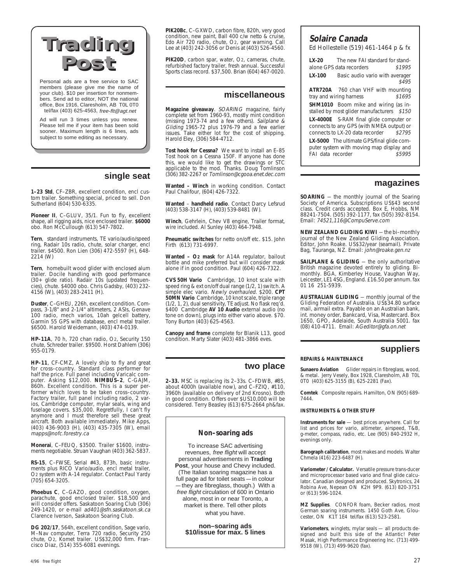### **Trading Trading Post Post**

Personal ads are a free service to SAC members (please give me the name of your club). \$10 per insertion for nonmembers. Send ad to editor, NOT the national office, Box 1916, Claresholm, AB T0L 0T0 tel/fax (403) 625-4563, free-flt@agt.net

Ad will run 3 times unless you renew. Please tell me if your item has been sold sooner. Maximum length is 6 lines, ads subject to some editing as necessary.

#### **single seat**

**1–23 Std**, CF–ZBR, excellent condition, encl custom trailer. Something special, priced to sell. Don Sutherland (604) 530-6335.

Pioneer II, C-GLUV, 35/1. Fun to fly, excellent shape, all rigging aids, nice enclosed trailer. **\$6000** obo. Ron McCullough (613) 547-7802.

**Tern**, standard instruments, TE vario/audio/speed ring, Radair 10s radio, chute, solar charger, encl trailer. \$4500. Ron Lien (306) 472-5597 (H), 648- 2214 (W)

**Tern**, homebuilt wood glider with enclosed alum trailer. Docile handling with good performance (30+ glide ratio). Radair 10s (updated frequencies), chute. \$4000 obo. Chris Gadsby, (403) 232- 4156 (W), (403) 283-2411 (H).

**Duster**, C–GHEU, 226h, excellent condition. Com-pass, 3-1/8" and 2-1/4" altimeters, 2 ASIs, Genave 100 radio, mech varios, 10ah gelcell battery, Garmin 55 GPS with database, encl metal trailer. \$6500. Harold Weidemann, (403) 474-0139.

**HP–11A**, 70 h, 720 chan radio, O2, Security 150 chute, Schreder trailer. \$9500. Horst Dahlem (306) 955-0179.

**HP–11**, CF-CMZ, A lovely ship to fly and great for cross–country. Standard class performer for half the price. Full panel including Varicalc com-puter. Asking \$12,000. **NIMBUS–2**, C-GAJM, 860h. Excellent condition. This is a super performer which loves to be taken cross–country. Factory trailer, full panel including radio, 2 varios, Cambridge computer, mylar seals, wing and fuselage covers. \$35,000. Regretfully, I can't fly anymore and I must therefore sell these great aircraft. Both available immediately. Mike Apps, (403) 436-9003 (H), (403) 435-7305 (W), email mapps@nofc.forestry.ca

**Monerai**, C–FEUQ, \$3500. Trailer \$1600, instruments negotiable. Struan Vaughan (403) 362-5837.

**RS-15**, C–FWSE, Serial #43, 873h, basic instru-ments plus RICO Vario/audio, encl metal trailer, O2 system with A-14 regulator. Contact Paul Yardy (705) 654-3205.

**Phoebus C**, C–GAZO, good condition, oxygen, parachute, good enclosed trailer. \$18,500 and will consider offers. Saskatoon Soaring Club (306) 249-1420, or e-mail ad401@sfn.saskatoon.sk.ca Clarence Iverson, Saskatoon Soaring Club.

**DG 202/17**, 564h, excellent condition, Sage vario, M–Nav computer, Terra 720 radio, Security 250 chute, O2, Komet trailer. US\$32,000 firm. Francisco Diaz, (514) 355-6081 evenings.

**PIK20Bc**, C–GXWD, carbon fibre, 820h, very good condition, new paint, Ball 400 c/w netto & cruise, Edo Air 720 radio, chute, O2, gear warning. Call Lee at (403) 242-3056 or Denis at (403) 526-4560.

PIK20D, carbon spar, water, O2, cameras, chute, refurbished factory trailer, fresh annual. Successful Sports class record. \$37,500. Brian (604) 467-0020.

#### **miscellaneous**

**Magazine giveaway**. SOARING magazine, fairly complete set from 1960-93, mostly mint condition (missing 1973-74 and a few others). Sailplane & Gliding 1965-72 plus 1976-79 and a few earlier issues. Take either lot for the cost of shipping. Harold Eley, (306) 584-4712.

**Tost hook for Cessna?** We want to install an E–85 Tost hook on a Cessna 150F. If anyone has done this, we would like to get the drawings or STC applicable to the mod. Thanks. Doug Tomlinson (306) 382-2267 or Tomlinson@cgooa.enet.dec.com

**Wanted – Winch** in working condition. Contact Paul Chalifour, (604) 426-7322.

**Wanted** – **handheld radio**. Contact Darcy Lefsrud (403) 538-3147 (H), (403) 539-8481 (W).

**Winch**, Gehrlein, Chev V8 engine, Trailer format, wire included. Al Sunley (403) 464-7948.

**Pneumatic switches** for netto on/off etc. \$15. John Firth (613) 731-6997.

**Wanted – O2 mask** for A14A regulator, bailout bottle and mike preferred but will consider mask alone if in good condition. Paul (604) 426-7322.

**CVS 50H Vario** Cambridge, 10 knot scale with speed ring & ext on/off dual range (1/2, 1) switch. A simple elec vario. Newly overhauled. \$200. **CPT 50MN Vario** Cambridge, 10 knot scale, triple range (1/2, 1, 2), dual sensitivity, TE adjust. No flask req'd. \$400 Cambridge **AV 10 Audio** external audio (no tone on down), plugs into either vario above. \$70. Tony Burton (403) 625-4563.

**Canopy and frame** complete for Blanik L13, good condition. Marty Slater (403) 481-3866 eves.

#### **two place**

**2–33.** MSC is replacing its 2–33s. C–FDWB, #85, about 4000h (available now), and C–FZIQ, #110, 3960h (available on delivery of 2nd Krosno). Both in good condition. Offers over \$US10,000 will be considered. Terry Beasley (613) 675-2664 ph&fax.

#### **Non–soaring ads**

To increase SAC advertising revenues, free flight will accept personal advertisements in **Trading Post**, your house and Chevy included. (The Italian soaring magazine has a full page ad for toilet seats — in colour — they are fibreglass, though.) With a free flight circulation of 600 in Ontario alone, most in or near Toronto, a market is there. Tell other pilots what you have.

**non–soaring ads \$10/issue for max. 5 lines**

#### **Solaire Canada**

Ed Hollestelle (519) 461-1464 p & fx

**LX-20** The new FAI standard for standalone GPS data recorders \$1995 **LX-100** Basic audio vario with averager \$495 **ATR720A** 760 chan VHF with mounting tray and wiring harness \$1695 **SHM1010** Boom mike and wiring (as installed by most glider manufacturers \$150 **LX-4000E** S-RAM final glide computer or connects to any GPS (with NMEA output) or connects to LX-20 data recorder \$2795 **LX-5000** The ultimate GPS/final glide computer system with moving map display and FAI data recorder \$5995

#### **magazines**

**SOARING** — the monthly journal of the Soaring Society of America. Subscriptions US\$43 second class. Credit cards accepted. Box E, Hobbs, NM 88241-7504. (505) 392-1177, fax (505) 392-8154. Email: 74521,116@CompuServe.com

**NEW ZEALAND GLIDING KIWI** — the bi–monthly journal of the New Zealand Gliding Association. Editor, John Roake. US\$32/year (seamail). Private Bag, Tauranga, NZ. Email: john@roake.gen.nz

**SAILPLANE & GLIDING** - the only authoritative British magazine devoted entirely to gliding. Bimonthly. BGA, Kimberley House, Vaughan Way, Leicester, LE1 4SG, England. £16.50 per annum. fax 01 16 251-5939.

**AUSTRALIAN GLIDING** — monthly journal of the Gliding Federation of Australia. US\$34.80 surface mail, airmail extra. Payable on an Australian bank, int. money order, Bankcard, Visa, Mastercard. Box 1650, GPO, Adelaide, South Australia 5001. fax (08) 410-4711. Email: AGeditor@gfa.on.net

#### **suppliers**

#### **REPAIRS & MAINTENANCE**

**Sunaero Aviation** Glider repairs in fibreglass, wood, & metal. Jerry Vesely, Box 1928, Claresholm, AB T0L 0T0 (403) 625-3155 (B), 625-2281 (Fax).

**Comtek** Composite repairs. Hamilton, ON (905) 689- 7444.

#### **INSTRUMENTS & OTHER STUFF**

**Instruments for sale** — best prices anywhere. Call for list and prices for vario, altimeter, airspeed, T&B, g-meter, compass, radio, etc. Lee (905) 840-2932 H, evenings only.

**Barograph calibration**, most makes and models. Walter Chmela (416) 223-6487 (H).

**Variometer/ Calculator.** Versatile pressure trans-ducer and microprocessor based vario and final glide calculator. Canadian designed and produced. Skytronics, 24 Robina Ave, Nepean ON K2H 9P9. (613) 820-3751 or (613) 596-1024.

**MZ Supplies**. CONFOR foam, Becker radios, most German soaring instruments. 1450 Goth Ave, Gloucester, ON K1T 1E4 tel/fax (613) 523-2581.

**Variometers**, winglets, mylar seals — all products designed and built this side of the Atlantic! Peter Masak, High Performance Engineering Inc. (713) 499- 9518 (W), (713) 499-9620 (fax).